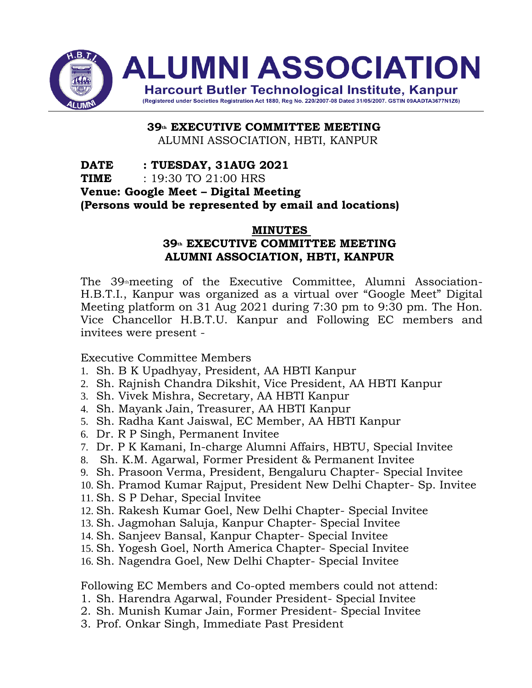

**39th EXECUTIVE COMMITTEE MEETING** ALUMNI ASSOCIATION, HBTI, KANPUR

**DATE : TUESDAY, 31AUG 2021 TIME** : 19:30 TO 21:00 HRS **Venue: Google Meet – Digital Meeting (Persons would be represented by email and locations)**

#### **MINUTES**

# **39th EXECUTIVE COMMITTEE MEETING ALUMNI ASSOCIATION, HBTI, KANPUR**

The 39<sup>th</sup>meeting of the Executive Committee, Alumni Association-H.B.T.I., Kanpur was organized as a virtual over "Google Meet" Digital Meeting platform on 31 Aug 2021 during 7:30 pm to 9:30 pm. The Hon. Vice Chancellor H.B.T.U. Kanpur and Following EC members and invitees were present -

Executive Committee Members

- 1. Sh. B K Upadhyay, President, AA HBTI Kanpur
- 2. Sh. Rajnish Chandra Dikshit, Vice President, AA HBTI Kanpur
- 3. Sh. Vivek Mishra, Secretary, AA HBTI Kanpur
- 4. Sh. Mayank Jain, Treasurer, AA HBTI Kanpur
- 5. Sh. Radha Kant Jaiswal, EC Member, AA HBTI Kanpur
- 6. Dr. R P Singh, Permanent Invitee
- 7. Dr. P K Kamani, In-charge Alumni Affairs, HBTU, Special Invitee
- 8. Sh. K.M. Agarwal, Former President & Permanent Invitee
- 9. Sh. Prasoon Verma, President, Bengaluru Chapter- Special Invitee
- 10. Sh. Pramod Kumar Rajput, President New Delhi Chapter- Sp. Invitee
- 11. Sh. S P Dehar, Special Invitee
- 12. Sh. Rakesh Kumar Goel, New Delhi Chapter- Special Invitee
- 13. Sh. Jagmohan Saluja, Kanpur Chapter- Special Invitee
- 14. Sh. Sanjeev Bansal, Kanpur Chapter- Special Invitee
- 15. Sh. Yogesh Goel, North America Chapter- Special Invitee
- 16. Sh. Nagendra Goel, New Delhi Chapter- Special Invitee

Following EC Members and Co-opted members could not attend:

- 1. Sh. Harendra Agarwal, Founder President- Special Invitee
- 2. Sh. Munish Kumar Jain, Former President- Special Invitee
- 3. Prof. Onkar Singh, Immediate Past President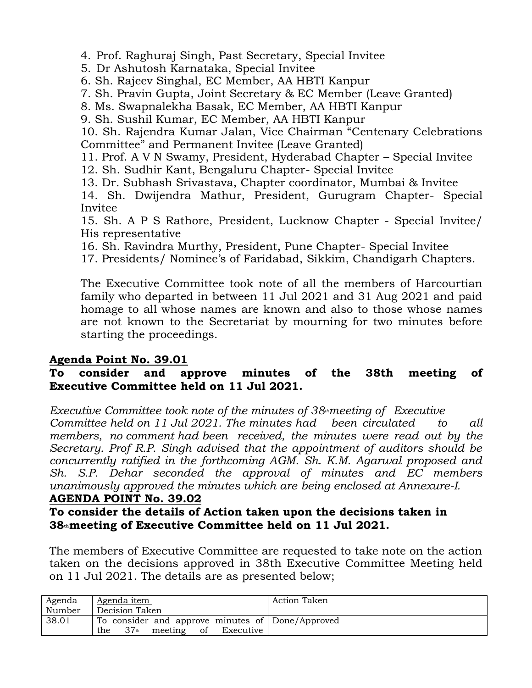4. Prof. Raghuraj Singh, Past Secretary, Special Invitee

5. Dr Ashutosh Karnataka, Special Invitee

6. Sh. Rajeev Singhal, EC Member, AA HBTI Kanpur

7. Sh. Pravin Gupta, Joint Secretary & EC Member (Leave Granted)

8. Ms. Swapnalekha Basak, EC Member, AA HBTI Kanpur

9. Sh. Sushil Kumar, EC Member, AA HBTI Kanpur

10. Sh. Rajendra Kumar Jalan, Vice Chairman "Centenary Celebrations Committee" and Permanent Invitee (Leave Granted)

11. Prof. A V N Swamy, President, Hyderabad Chapter – Special Invitee

- 12. Sh. Sudhir Kant, Bengaluru Chapter- Special Invitee
- 13. Dr. Subhash Srivastava, Chapter coordinator, Mumbai & Invitee

14. Sh. Dwijendra Mathur, President, Gurugram Chapter- Special Invitee

15. Sh. A P S Rathore, President, Lucknow Chapter - Special Invitee/ His representative

16. Sh. Ravindra Murthy, President, Pune Chapter- Special Invitee

17. Presidents/ Nominee's of Faridabad, Sikkim, Chandigarh Chapters.

The Executive Committee took note of all the members of Harcourtian family who departed in between 11 Jul 2021 and 31 Aug 2021 and paid homage to all whose names are known and also to those whose names are not known to the Secretariat by mourning for two minutes before starting the proceedings.

# **Agenda Point No. 39.01**

# **To consider and approve minutes of the 38th meeting of Executive Committee held on 11 Jul 2021.**

*Executive Committee took note of the minutes of 38thmeeting of Executive Committee held on 11 Jul 2021. The minutes had been circulated to all members, no comment had been received, the minutes were read out by the Secretary. Prof R.P. Singh advised that the appointment of auditors should be concurrently ratified in the forthcoming AGM. Sh. K.M. Agarwal proposed and Sh. S.P. Dehar seconded the approval of minutes and EC members unanimously approved the minutes which are being enclosed at Annexure-I.*

#### **AGENDA POINT No. 39.02**

# **To consider the details of Action taken upon the decisions taken in 38thmeeting of Executive Committee held on 11 Jul 2021.**

The members of Executive Committee are requested to take note on the action taken on the decisions approved in 38th Executive Committee Meeting held on 11 Jul 2021. The details are as presented below;

| Agenda | Agenda item                                          | Action Taken |
|--------|------------------------------------------------------|--------------|
| Number | Decision Taken                                       |              |
| 38.01  | To consider and approve minutes of Done/Approved     |              |
|        | 37 <sup>th</sup><br>meeting<br>of Executive  <br>the |              |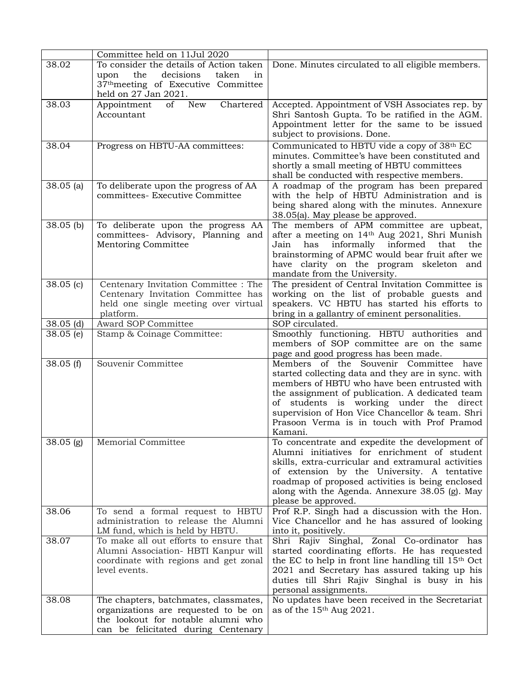|                            | Committee held on 11Jul 2020                                                                                                                                  |                                                                                                                                                                                                                                                                                                                                                           |
|----------------------------|---------------------------------------------------------------------------------------------------------------------------------------------------------------|-----------------------------------------------------------------------------------------------------------------------------------------------------------------------------------------------------------------------------------------------------------------------------------------------------------------------------------------------------------|
| 38.02                      | To consider the details of Action taken<br>decisions<br>in<br>the<br>taken<br>upon<br>37 <sup>th</sup> meeting of Executive Committee<br>held on 27 Jan 2021. | Done. Minutes circulated to all eligible members.                                                                                                                                                                                                                                                                                                         |
| 38.03                      | Chartered<br>New<br>of<br>Appointment<br>Accountant                                                                                                           | Accepted. Appointment of VSH Associates rep. by<br>Shri Santosh Gupta. To be ratified in the AGM.<br>Appointment letter for the same to be issued<br>subject to provisions. Done.                                                                                                                                                                         |
| 38.04                      | Progress on HBTU-AA committees:                                                                                                                               | Communicated to HBTU vide a copy of 38th EC<br>minutes. Committee's have been constituted and<br>shortly a small meeting of HBTU committees<br>shall be conducted with respective members.                                                                                                                                                                |
| $38.05$ (a)                | To deliberate upon the progress of AA<br>committees- Executive Committee                                                                                      | A roadmap of the program has been prepared<br>with the help of HBTU Administration and is<br>being shared along with the minutes. Annexure<br>38.05(a). May please be approved.                                                                                                                                                                           |
| $38.05$ (b)                | To deliberate upon the progress AA<br>committees- Advisory, Planning and<br>Mentoring Committee                                                               | The members of APM committee are upbeat,<br>after a meeting on 14th Aug 2021, Shri Munish<br>informally informed<br>Jain<br>has<br>that<br>the<br>brainstorming of APMC would bear fruit after we<br>have clarity on the program skeleton and<br>mandate from the University.                                                                             |
| $\overline{38.05}$ (c)     | Centenary Invitation Committee : The<br>Centenary Invitation Committee has<br>held one single meeting over virtual<br>platform.                               | The president of Central Invitation Committee is<br>working on the list of probable guests and<br>speakers. VC HBTU has started his efforts to<br>bring in a gallantry of eminent personalities.                                                                                                                                                          |
| $38.05$ (d)<br>$38.05$ (e) | Award SOP Committee<br>Stamp & Coinage Committee:                                                                                                             | SOP circulated.<br>Smoothly functioning. HBTU authorities and<br>members of SOP committee are on the same<br>page and good progress has been made.                                                                                                                                                                                                        |
| 38.05(f)                   | Souvenir Committee                                                                                                                                            | Members of the Souvenir Committee<br>have<br>started collecting data and they are in sync. with<br>members of HBTU who have been entrusted with<br>the assignment of publication. A dedicated team<br>of students is working under the direct<br>supervision of Hon Vice Chancellor & team. Shri<br>Prasoon Verma is in touch with Prof Pramod<br>Kamani. |
| $38.05$ (g)                | Memorial Committee                                                                                                                                            | To concentrate and expedite the development of<br>Alumni initiatives for enrichment of student<br>skills, extra-curricular and extramural activities<br>of extension by the University. A tentative<br>roadmap of proposed activities is being enclosed<br>along with the Agenda. Annexure 38.05 (g). May<br>please be approved.                          |
| 38.06                      | To send a formal request to HBTU<br>administration to release the Alumni<br>LM fund, which is held by HBTU.                                                   | Prof R.P. Singh had a discussion with the Hon.<br>Vice Chancellor and he has assured of looking<br>into it, positively.                                                                                                                                                                                                                                   |
| 38.07                      | To make all out efforts to ensure that<br>Alumni Association- HBTI Kanpur will<br>coordinate with regions and get zonal<br>level events.                      | Shri Rajiv Singhal, Zonal Co-ordinator has<br>started coordinating efforts. He has requested<br>the EC to help in front line handling till $15th$ Oct<br>2021 and Secretary has assured taking up his<br>duties till Shri Rajiv Singhal is busy in his<br>personal assignments.                                                                           |
| 38.08                      | The chapters, batchmates, classmates,<br>organizations are requested to be on<br>the lookout for notable alumni who<br>can be felicitated during Centenary    | No updates have been received in the Secretariat<br>as of the $15th$ Aug 2021.                                                                                                                                                                                                                                                                            |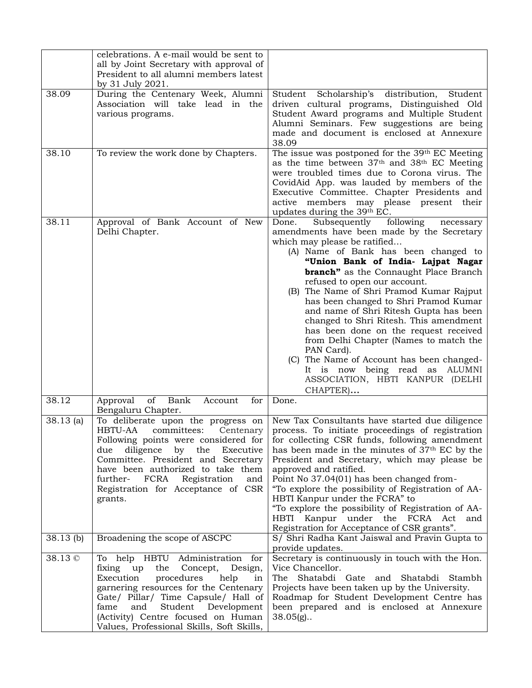|             | celebrations. A e-mail would be sent to<br>all by Joint Secretary with approval of<br>President to all alumni members latest<br>by 31 July 2021.                                                                                                                                                                                |                                                                                                                                                                                                                                                                                                                                                                                                                                                                                                                                                                                                                                                                                                      |
|-------------|---------------------------------------------------------------------------------------------------------------------------------------------------------------------------------------------------------------------------------------------------------------------------------------------------------------------------------|------------------------------------------------------------------------------------------------------------------------------------------------------------------------------------------------------------------------------------------------------------------------------------------------------------------------------------------------------------------------------------------------------------------------------------------------------------------------------------------------------------------------------------------------------------------------------------------------------------------------------------------------------------------------------------------------------|
| 38.09       | During the Centenary Week, Alumni<br>Association will take lead in the<br>various programs.                                                                                                                                                                                                                                     | Student Scholarship's distribution,<br>Student<br>driven cultural programs, Distinguished Old<br>Student Award programs and Multiple Student<br>Alumni Seminars. Few suggestions are being<br>made and document is enclosed at Annexure<br>38.09                                                                                                                                                                                                                                                                                                                                                                                                                                                     |
| 38.10       | To review the work done by Chapters.                                                                                                                                                                                                                                                                                            | The issue was postponed for the 39th EC Meeting<br>as the time between 37th and 38th EC Meeting<br>were troubled times due to Corona virus. The<br>CovidAid App. was lauded by members of the<br>Executive Committee. Chapter Presidents and<br>active members may please present their<br>updates during the 39th EC.                                                                                                                                                                                                                                                                                                                                                                               |
| 38.11       | Approval of Bank Account of New<br>Delhi Chapter.                                                                                                                                                                                                                                                                               | Done.<br>Subsequently<br>following<br>necessary<br>amendments have been made by the Secretary<br>which may please be ratified<br>(A) Name of Bank has been changed to<br>"Union Bank of India- Lajpat Nagar<br><b>branch</b> " as the Connaught Place Branch<br>refused to open our account.<br>(B) The Name of Shri Pramod Kumar Rajput<br>has been changed to Shri Pramod Kumar<br>and name of Shri Ritesh Gupta has been<br>changed to Shri Ritesh. This amendment<br>has been done on the request received<br>from Delhi Chapter (Names to match the<br>PAN Card).<br>(C) The Name of Account has been changed-<br>It is now being read as ALUMNI<br>ASSOCIATION, HBTI KANPUR (DELHI<br>CHAPTER) |
| 38.12       | Bank<br>of<br>for<br>Approval<br>Account<br>Bengaluru Chapter.                                                                                                                                                                                                                                                                  | Done.                                                                                                                                                                                                                                                                                                                                                                                                                                                                                                                                                                                                                                                                                                |
| $38.13$ (a) | To deliberate upon the progress on<br>HBTU-AA<br>committees:<br>Centenary<br>Following points were considered for<br>diligence<br>by the<br>Executive<br>due<br>Committee. President and Secretary<br>have been authorized to take them<br>further- FCRA Registration<br>and<br>Registration for Acceptance of CSR<br>grants.   | New Tax Consultants have started due diligence<br>process. To initiate proceedings of registration<br>for collecting CSR funds, following amendment<br>has been made in the minutes of 37 <sup>th</sup> EC by the<br>President and Secretary, which may please be<br>approved and ratified.<br>Point No 37.04(01) has been changed from-<br>"To explore the possibility of Registration of AA-<br>HBTI Kanpur under the FCRA" to<br>"To explore the possibility of Registration of AA-<br>HBTI Kanpur under the FCRA Act and<br>Registration for Acceptance of CSR grants".                                                                                                                          |
| $38.13$ (b) | Broadening the scope of ASCPC                                                                                                                                                                                                                                                                                                   | S/ Shri Radha Kant Jaiswal and Pravin Gupta to<br>provide updates.                                                                                                                                                                                                                                                                                                                                                                                                                                                                                                                                                                                                                                   |
| 38.13 ©     | To help HBTU Administration for<br>fixing up<br>the<br>Concept,<br>Design,<br>Execution<br>procedures<br>help<br>in<br>garnering resources for the Centenary<br>Gate/ Pillar/ Time Capsule/ Hall of<br>fame<br>and<br>Student<br>Development<br>(Activity) Centre focused on Human<br>Values, Professional Skills, Soft Skills, | Secretary is continuously in touch with the Hon.<br>Vice Chancellor.<br>Shatabdi Gate and Shatabdi Stambh<br>The<br>Projects have been taken up by the University.<br>Roadmap for Student Development Centre has<br>been prepared and is enclosed at Annexure<br>$38.05(g)$ .                                                                                                                                                                                                                                                                                                                                                                                                                        |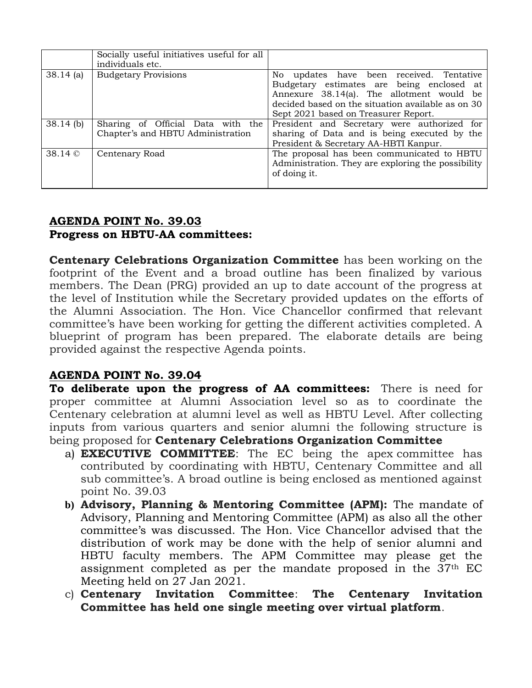|             | Socially useful initiatives useful for all<br>individuals etc.         |                                                                                                                                                                                                                                 |
|-------------|------------------------------------------------------------------------|---------------------------------------------------------------------------------------------------------------------------------------------------------------------------------------------------------------------------------|
| $38.14$ (a) | <b>Budgetary Provisions</b>                                            | No updates have been received. Tentative<br>Budgetary estimates are being enclosed at<br>Annexure 38.14(a). The allotment would be<br>decided based on the situation available as on 30<br>Sept 2021 based on Treasurer Report. |
| $38.14$ (b) | Sharing of Official Data with the<br>Chapter's and HBTU Administration | President and Secretary were authorized for<br>sharing of Data and is being executed by the<br>President & Secretary AA-HBTI Kanpur.                                                                                            |
| 38.14 ©     | Centenary Road                                                         | The proposal has been communicated to HBTU<br>Administration. They are exploring the possibility<br>of doing it.                                                                                                                |

#### **AGENDA POINT No. 39.03 Progress on HBTU-AA committees:**

**Centenary Celebrations Organization Committee** has been working on the footprint of the Event and a broad outline has been finalized by various members. The Dean (PRG) provided an up to date account of the progress at the level of Institution while the Secretary provided updates on the efforts of the Alumni Association. The Hon. Vice Chancellor confirmed that relevant committee's have been working for getting the different activities completed. A blueprint of program has been prepared. The elaborate details are being provided against the respective Agenda points.

# **AGENDA POINT No. 39.04**

**To deliberate upon the progress of AA committees:** There is need for proper committee at Alumni Association level so as to coordinate the Centenary celebration at alumni level as well as HBTU Level. After collecting inputs from various quarters and senior alumni the following structure is being proposed for **Centenary Celebrations Organization Committee**

- a) **EXECUTIVE COMMITTEE**: The EC being the apex committee has contributed by coordinating with HBTU, Centenary Committee and all sub committee's. A broad outline is being enclosed as mentioned against point No. 39.03
- **b) Advisory, Planning & Mentoring Committee (APM):** The mandate of Advisory, Planning and Mentoring Committee (APM) as also all the other committee's was discussed. The Hon. Vice Chancellor advised that the distribution of work may be done with the help of senior alumni and HBTU faculty members. The APM Committee may please get the assignment completed as per the mandate proposed in the 37th EC Meeting held on 27 Jan 2021.
- c) **Centenary Invitation Committee**: **The Centenary Invitation Committee has held one single meeting over virtual platform**.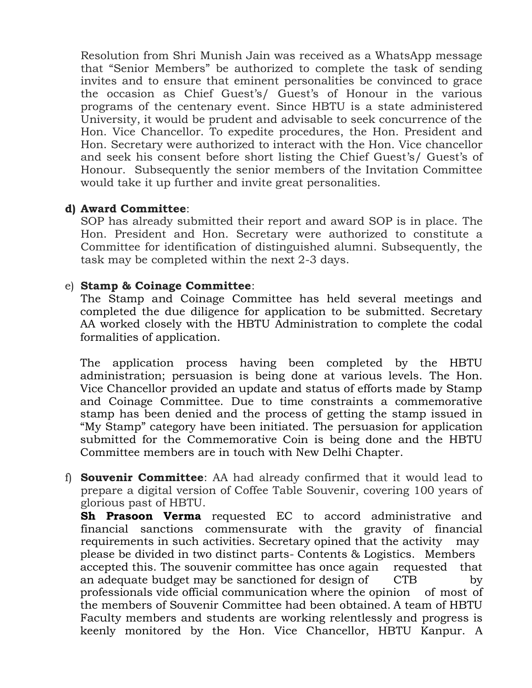Resolution from Shri Munish Jain was received as a WhatsApp message that "Senior Members" be authorized to complete the task of sending invites and to ensure that eminent personalities be convinced to grace the occasion as Chief Guest's/ Guest's of Honour in the various programs of the centenary event. Since HBTU is a state administered University, it would be prudent and advisable to seek concurrence of the Hon. Vice Chancellor. To expedite procedures, the Hon. President and Hon. Secretary were authorized to interact with the Hon. Vice chancellor and seek his consent before short listing the Chief Guest's/ Guest's of Honour. Subsequently the senior members of the Invitation Committee would take it up further and invite great personalities.

#### **d) Award Committee**:

SOP has already submitted their report and award SOP is in place. The Hon. President and Hon. Secretary were authorized to constitute a Committee for identification of distinguished alumni. Subsequently, the task may be completed within the next 2-3 days.

#### e) **Stamp & Coinage Committee**:

The Stamp and Coinage Committee has held several meetings and completed the due diligence for application to be submitted. Secretary AA worked closely with the HBTU Administration to complete the codal formalities of application.

The application process having been completed by the HBTU administration; persuasion is being done at various levels. The Hon. Vice Chancellor provided an update and status of efforts made by Stamp and Coinage Committee. Due to time constraints a commemorative stamp has been denied and the process of getting the stamp issued in "My Stamp" category have been initiated. The persuasion for application submitted for the Commemorative Coin is being done and the HBTU Committee members are in touch with New Delhi Chapter.

f) **Souvenir Committee**: AA had already confirmed that it would lead to prepare a digital version of Coffee Table Souvenir, covering 100 years of glorious past of HBTU.

**Sh Prasoon Verma** requested EC to accord administrative and financial sanctions commensurate with the gravity of financial requirements in such activities. Secretary opined that the activity may please be divided in two distinct parts- Contents & Logistics. Members accepted this. The souvenir committee has once again requested that an adequate budget may be sanctioned for design of CTB by professionals vide official communication where the opinion of most of the members of Souvenir Committee had been obtained. A team of HBTU Faculty members and students are working relentlessly and progress is keenly monitored by the Hon. Vice Chancellor, HBTU Kanpur. A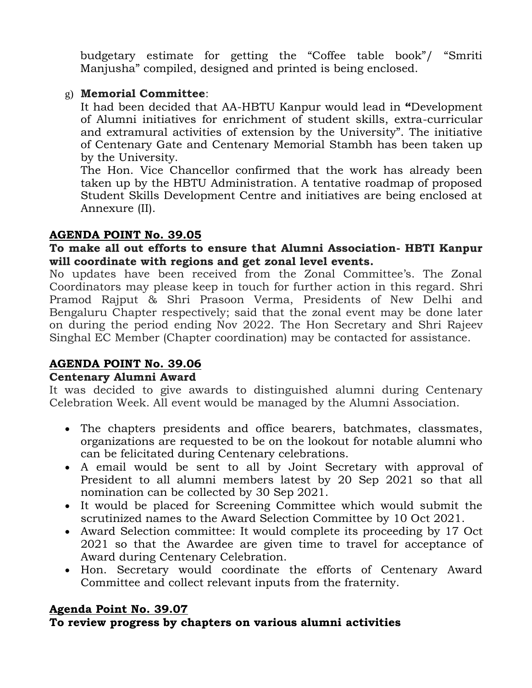budgetary estimate for getting the "Coffee table book"/ "Smriti Manjusha" compiled, designed and printed is being enclosed.

# g) **Memorial Committee**:

It had been decided that AA-HBTU Kanpur would lead in **"**Development of Alumni initiatives for enrichment of student skills, extra-curricular and extramural activities of extension by the University". The initiative of Centenary Gate and Centenary Memorial Stambh has been taken up by the University.

The Hon. Vice Chancellor confirmed that the work has already been taken up by the HBTU Administration. A tentative roadmap of proposed Student Skills Development Centre and initiatives are being enclosed at Annexure (II).

#### **AGENDA POINT No. 39.05**

#### **To make all out efforts to ensure that Alumni Association- HBTI Kanpur will coordinate with regions and get zonal level events.**

No updates have been received from the Zonal Committee's. The Zonal Coordinators may please keep in touch for further action in this regard. Shri Pramod Rajput & Shri Prasoon Verma, Presidents of New Delhi and Bengaluru Chapter respectively; said that the zonal event may be done later on during the period ending Nov 2022. The Hon Secretary and Shri Rajeev Singhal EC Member (Chapter coordination) may be contacted for assistance.

# **AGENDA POINT No. 39.06**

#### **Centenary Alumni Award**

It was decided to give awards to distinguished alumni during Centenary Celebration Week. All event would be managed by the Alumni Association.

- The chapters presidents and office bearers, batchmates, classmates, organizations are requested to be on the lookout for notable alumni who can be felicitated during Centenary celebrations.
- A email would be sent to all by Joint Secretary with approval of President to all alumni members latest by 20 Sep 2021 so that all nomination can be collected by 30 Sep 2021.
- It would be placed for Screening Committee which would submit the scrutinized names to the Award Selection Committee by 10 Oct 2021.
- Award Selection committee: It would complete its proceeding by 17 Oct 2021 so that the Awardee are given time to travel for acceptance of Award during Centenary Celebration.
- Hon. Secretary would coordinate the efforts of Centenary Award Committee and collect relevant inputs from the fraternity.

# **Agenda Point No. 39.07**

# **To review progress by chapters on various alumni activities**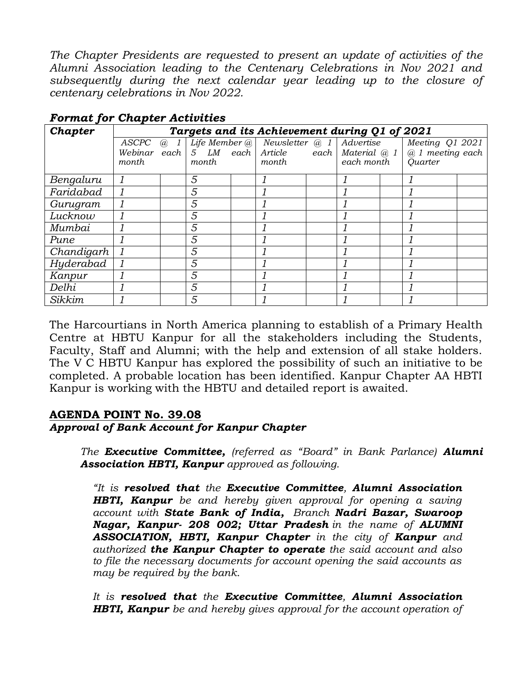*The Chapter Presidents are requested to present an update of activities of the Alumni Association leading to the Centenary Celebrations in Nov 2021 and subsequently during the next calendar year leading up to the closure of centenary celebrations in Nov 2022.*

| Chapter    |       | Targets and its Achievement during Q1 of 2021 |       |  |                                                     |  |            |  |                  |  |
|------------|-------|-----------------------------------------------|-------|--|-----------------------------------------------------|--|------------|--|------------------|--|
|            | ASCPC | $\overline{a}$ 1                              |       |  | Life Member $@$ Newsletter $@$ 1                    |  | Advertise  |  | Meeting Q1 2021  |  |
|            |       |                                               |       |  | Webinar each $5$ LM each Article each Material $@1$ |  |            |  | @ 1 meeting each |  |
|            | month |                                               | month |  | month                                               |  | each month |  | Quarter          |  |
| Bengaluru  |       |                                               | 5     |  |                                                     |  |            |  |                  |  |
| Faridabad  |       |                                               | 5     |  |                                                     |  |            |  |                  |  |
| Gurugram   |       |                                               | 5     |  |                                                     |  |            |  |                  |  |
| Lucknow    |       |                                               | 5     |  |                                                     |  |            |  |                  |  |
| Mumbai     |       |                                               | 5     |  |                                                     |  |            |  |                  |  |
| Pune       |       |                                               | 5     |  |                                                     |  |            |  |                  |  |
| Chandigarh |       |                                               | 5     |  |                                                     |  |            |  |                  |  |
| Hyderabad  |       |                                               | 5     |  |                                                     |  |            |  |                  |  |
| Kanpur     |       |                                               | 5     |  |                                                     |  |            |  |                  |  |
| Delhi      |       |                                               | 5     |  |                                                     |  |            |  |                  |  |
| Sikkim     |       |                                               | 5     |  |                                                     |  |            |  |                  |  |

*Format for Chapter Activities*

The Harcourtians in North America planning to establish of a Primary Health Centre at HBTU Kanpur for all the stakeholders including the Students, Faculty, Staff and Alumni; with the help and extension of all stake holders. The V C HBTU Kanpur has explored the possibility of such an initiative to be completed. A probable location has been identified. Kanpur Chapter AA HBTI Kanpur is working with the HBTU and detailed report is awaited.

#### **AGENDA POINT No. 39.08** *Approval of Bank Account for Kanpur Chapter*

*The Executive Committee, (referred as "Board" in Bank Parlance) Alumni Association HBTI, Kanpur approved as following.*

*"It is resolved that the Executive Committee, Alumni Association HBTI, Kanpur be and hereby given approval for opening a saving account with State Bank of India, Branch Nadri Bazar, Swaroop Nagar, Kanpur- 208 002; Uttar Pradesh in the name of ALUMNI ASSOCIATION, HBTI, Kanpur Chapter in the city of Kanpur and authorized the Kanpur Chapter to operate the said account and also to file the necessary documents for account opening the said accounts as may be required by the bank.*

*It is resolved that the Executive Committee, Alumni Association HBTI, Kanpur be and hereby gives approval for the account operation of*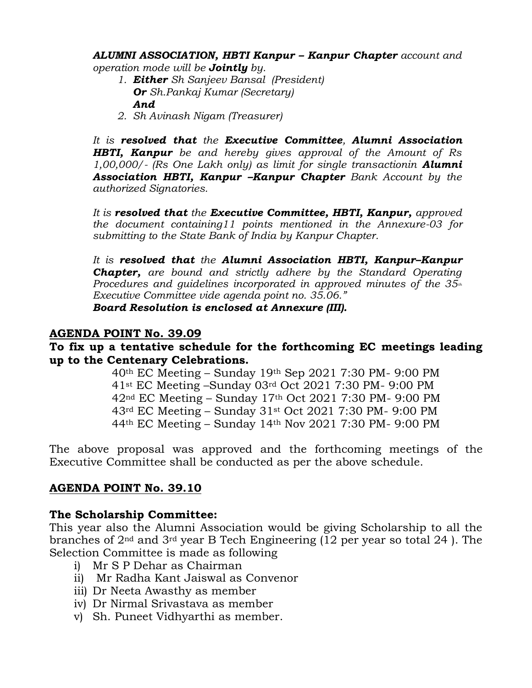*ALUMNI ASSOCIATION, HBTI Kanpur – Kanpur Chapter account and operation mode will be Jointly by.*

- *1. Either Sh Sanjeev Bansal (President) Or Sh.Pankaj Kumar (Secretary) And*
- *2. Sh Avinash Nigam (Treasurer)*

*It is resolved that the Executive Committee, Alumni Association HBTI, Kanpur be and hereby gives approval of the Amount of Rs 1,00,000/- (Rs One Lakh only) as limit for single transactionin Alumni Association HBTI, Kanpur –Kanpur Chapter Bank Account by the authorized Signatories.*

*It is resolved that the Executive Committee, HBTI, Kanpur, approved the document containing11 points mentioned in the Annexure-03 for submitting to the State Bank of India by Kanpur Chapter.* 

*It is resolved that the Alumni Association HBTI, Kanpur–Kanpur Chapter, are bound and strictly adhere by the Standard Operating Procedures and guidelines incorporated in approved minutes of the 35th Executive Committee vide agenda point no. 35.06."*

*Board Resolution is enclosed at Annexure (III).*

#### **AGENDA POINT No. 39.09**

#### **To fix up a tentative schedule for the forthcoming EC meetings leading up to the Centenary Celebrations.**

th EC Meeting – Sunday 19th Sep 2021 7:30 PM- 9:00 PM st EC Meeting –Sunday 03rd Oct 2021 7:30 PM- 9:00 PM nd EC Meeting – Sunday 17th Oct 2021 7:30 PM- 9:00 PM rd EC Meeting – Sunday 31st Oct 2021 7:30 PM- 9:00 PM th EC Meeting – Sunday 14th Nov 2021 7:30 PM- 9:00 PM

The above proposal was approved and the forthcoming meetings of the Executive Committee shall be conducted as per the above schedule.

#### **AGENDA POINT No. 39.10**

#### **The Scholarship Committee:**

This year also the Alumni Association would be giving Scholarship to all the branches of 2nd and 3rd year B Tech Engineering (12 per year so total 24 ). The Selection Committee is made as following

- i) Mr S P Dehar as Chairman
- ii) Mr Radha Kant Jaiswal as Convenor
- iii) Dr Neeta Awasthy as member
- iv) Dr Nirmal Srivastava as member
- v) Sh. Puneet Vidhyarthi as member.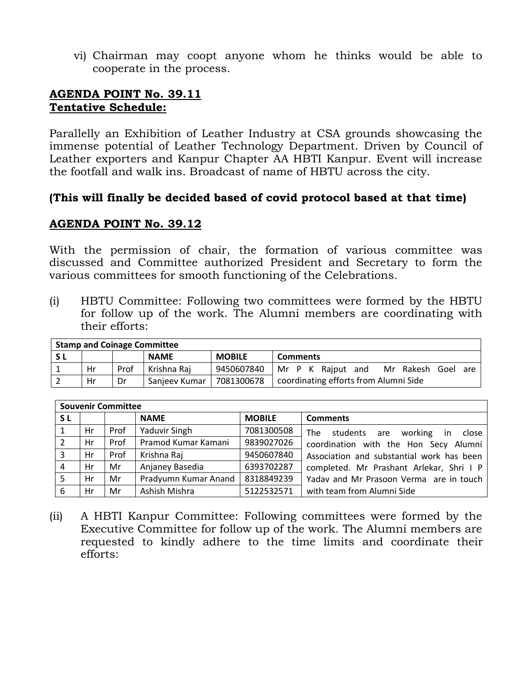vi) Chairman may coopt anyone whom he thinks would be able to cooperate in the process.

#### **AGENDA POINT No. 39.11 Tentative Schedule:**

Parallelly an Exhibition of Leather Industry at CSA grounds showcasing the immense potential of Leather Technology Department. Driven by Council of Leather exporters and Kanpur Chapter AA HBTI Kanpur. Event will increase the footfall and walk ins. Broadcast of name of HBTU across the city.

#### **(This will finally be decided based of covid protocol based at that time)**

#### **AGENDA POINT No. 39.12**

With the permission of chair, the formation of various committee was discussed and Committee authorized President and Secretary to form the various committees for smooth functioning of the Celebrations.

(i) HBTU Committee: Following two committees were formed by the HBTU for follow up of the work. The Alumni members are coordinating with their efforts:

| <b>Stamp and Coinage Committee</b> |    |      |               |               |                                         |  |  |  |
|------------------------------------|----|------|---------------|---------------|-----------------------------------------|--|--|--|
| S L                                |    |      | <b>NAME</b>   | <b>MOBILE</b> | <b>Comments</b>                         |  |  |  |
|                                    | Hr | Prof | Krishna Raj   | 9450607840    | Mr Rakesh Goel are<br>Mr P K Rajput and |  |  |  |
|                                    | Hr | Dr   | Sanieev Kumar | 7081300678    | coordinating efforts from Alumni Side   |  |  |  |

|     | <b>Souvenir Committee</b> |      |                      |               |                                           |  |  |
|-----|---------------------------|------|----------------------|---------------|-------------------------------------------|--|--|
| S L |                           |      | <b>NAME</b>          | <b>MOBILE</b> | <b>Comments</b>                           |  |  |
|     | Hr                        | Prof | Yaduvir Singh        | 7081300508    | The<br>students are working in<br>close   |  |  |
|     | Hr                        | Prof | Pramod Kumar Kamani  | 9839027026    | coordination with the Hon Secy Alumni     |  |  |
| 3   | Hr                        | Prof | Krishna Raj          | 9450607840    | Association and substantial work has been |  |  |
| 4   | Hr                        | Mr   | Anjaney Basedia      | 6393702287    | completed. Mr Prashant Arlekar, Shri I P  |  |  |
| 5   | Hr                        | Mr   | Pradyumn Kumar Anand | 8318849239    | Yaday and Mr Prasoon Verma are in touch   |  |  |
| 6   | Hr                        | Mr   | Ashish Mishra        | 5122532571    | with team from Alumni Side                |  |  |

(ii) A HBTI Kanpur Committee: Following committees were formed by the Executive Committee for follow up of the work. The Alumni members are requested to kindly adhere to the time limits and coordinate their efforts: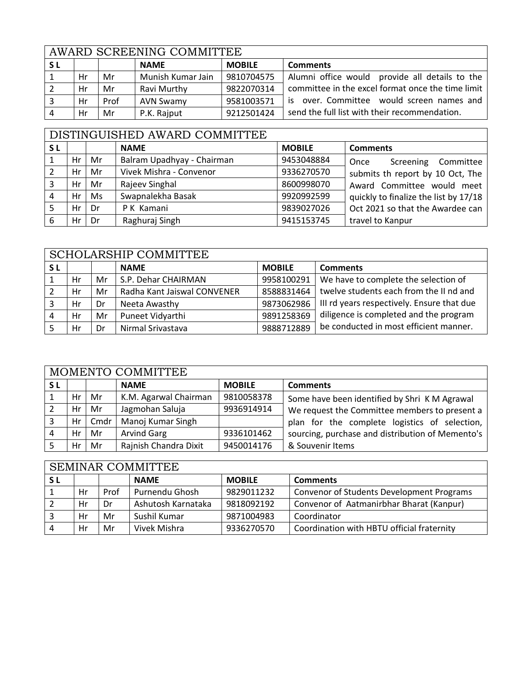|           | AWARD SCREENING COMMITTEE |      |                   |               |                                                   |  |  |
|-----------|---------------------------|------|-------------------|---------------|---------------------------------------------------|--|--|
| <b>SL</b> |                           |      | <b>NAME</b>       | <b>MOBILE</b> | <b>Comments</b>                                   |  |  |
|           | Hr                        | Mr   | Munish Kumar Jain | 9810704575    | Alumni office would provide all details to the    |  |  |
|           | Hr                        | Mr   | Ravi Murthy       | 9822070314    | committee in the excel format once the time limit |  |  |
|           | Hr                        | Prof | <b>AVN Swamy</b>  | 9581003571    | is over. Committee would screen names and         |  |  |
|           | Hr                        | Mr   | P.K. Rajput       | 9212501424    | send the full list with their recommendation.     |  |  |

# DISTINGUISHED AWARD COMMITTEE

| <b>SL</b> |    |    | <b>NAME</b>                | <b>MOBILE</b> | <b>Comments</b>                       |
|-----------|----|----|----------------------------|---------------|---------------------------------------|
|           | Hr | Mr | Balram Upadhyay - Chairman | 9453048884    | Screening Committee<br>Once           |
|           | Hr | Mr | Vivek Mishra - Convenor    | 9336270570    | submits th report by 10 Oct, The      |
|           | Hr | Mr | Rajeev Singhal             | 8600998070    | Award Committee would meet            |
| 4         | Hr | Ms | Swapnalekha Basak          | 9920992599    | quickly to finalize the list by 17/18 |
|           | Hr | Dr | P K Kamani                 | 9839027026    | Oct 2021 so that the Awardee can      |
| 6         | Нr | Dr | Raghuraj Singh             | 9415153745    | travel to Kanpur                      |

|                | <b>SCHOLARSHIP COMMITTEE</b> |    |                             |               |                                            |  |  |
|----------------|------------------------------|----|-----------------------------|---------------|--------------------------------------------|--|--|
| S L            |                              |    | <b>NAME</b>                 | <b>MOBILE</b> | <b>Comments</b>                            |  |  |
|                | Hr                           | Mr | S.P. Dehar CHAIRMAN         | 9958100291    | We have to complete the selection of       |  |  |
|                | Hr                           | Mr | Radha Kant Jaiswal CONVENER | 8588831464    | twelve students each from the II nd and    |  |  |
|                | Hr                           | Dr | Neeta Awasthy               | 9873062986    | III rd years respectively. Ensure that due |  |  |
| $\overline{4}$ | Hr                           | Mr | Puneet Vidyarthi            | 9891258369    | diligence is completed and the program     |  |  |
|                | Hr                           | Dr | Nirmal Srivastava           | 9888712889    | be conducted in most efficient manner.     |  |  |

|                | MOMENTO COMMITTEE |      |                       |               |                                                  |  |  |  |
|----------------|-------------------|------|-----------------------|---------------|--------------------------------------------------|--|--|--|
| <b>SL</b>      |                   |      | <b>NAME</b>           | <b>MOBILE</b> | <b>Comments</b>                                  |  |  |  |
|                | Hr                | Mr   | K.M. Agarwal Chairman | 9810058378    | Some have been identified by Shri K M Agrawal    |  |  |  |
|                | Hr                | Mr   | Jagmohan Saluja       | 9936914914    | We request the Committee members to present a    |  |  |  |
|                | Hr                | Cmdr | Manoj Kumar Singh     |               | plan for the complete logistics of selection,    |  |  |  |
| $\overline{4}$ | Hr                | Mr   | <b>Arvind Garg</b>    | 9336101462    | sourcing, purchase and distribution of Memento's |  |  |  |
|                | Hr                | Mr   | Rajnish Chandra Dixit | 9450014176    | & Souvenir Items                                 |  |  |  |

# SEMINAR COMMITTEE

|    |      | <b>NAME</b>        | <b>MOBILE</b> | <b>Comments</b>                            |
|----|------|--------------------|---------------|--------------------------------------------|
| Hr | Prof | Purnendu Ghosh     | 9829011232    | Convenor of Students Development Programs  |
| Hr | Dr   | Ashutosh Karnataka | 9818092192    | Convenor of Aatmanirbhar Bharat (Kanpur)   |
| Hr | Mr   | Sushil Kumar       | 9871004983    | Coordinator                                |
| Hr | Mr   | Vivek Mishra       | 9336270570    | Coordination with HBTU official fraternity |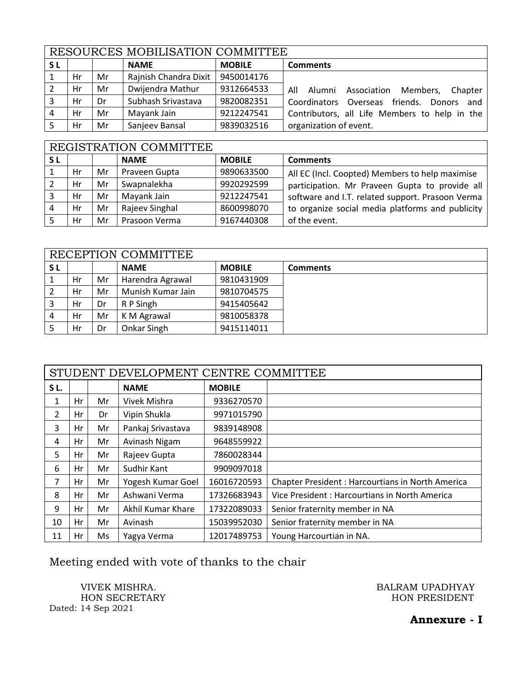|     | RESOURCES MOBILISATION COMMITTEE |    |                       |               |                                                  |  |  |  |
|-----|----------------------------------|----|-----------------------|---------------|--------------------------------------------------|--|--|--|
| S L |                                  |    | <b>NAME</b>           | <b>MOBILE</b> | <b>Comments</b>                                  |  |  |  |
|     | Hr                               | Mr | Rajnish Chandra Dixit | 9450014176    |                                                  |  |  |  |
|     | Hr                               | Mr | Dwijendra Mathur      | 9312664533    | Alumni Association<br>Members,<br>Chapter<br>All |  |  |  |
|     | Hr                               | Dr | Subhash Srivastava    | 9820082351    | Coordinators Overseas friends. Donors and        |  |  |  |
|     | Hr                               | Mr | Mayank Jain           | 9212247541    | Contributors, all Life Members to help in the    |  |  |  |
|     | Hr                               | Mr | Sanjeev Bansal        | 9839032516    | organization of event.                           |  |  |  |

# REGISTRATION COMMITTEE

| <b>SL</b> |    |    | <b>NAME</b>    | <b>MOBILE</b> | <b>Comments</b>                                  |  |  |
|-----------|----|----|----------------|---------------|--------------------------------------------------|--|--|
|           | Hr | Mr | Praveen Gupta  | 9890633500    | All EC (Incl. Coopted) Members to help maximise  |  |  |
|           | Hr | Mr | Swapnalekha    | 9920292599    | participation. Mr Praveen Gupta to provide all   |  |  |
|           | Hr | Mr | Mayank Jain    | 9212247541    | software and I.T. related support. Prasoon Verma |  |  |
|           | Hr | Mr | Rajeev Singhal | 8600998070    | to organize social media platforms and publicity |  |  |
|           | Hr | Mr | Prasoon Verma  | 9167440308    | of the event.                                    |  |  |

|     | RECEPTION COMMITTEE |    |                   |               |                 |  |  |
|-----|---------------------|----|-------------------|---------------|-----------------|--|--|
| S L |                     |    | <b>NAME</b>       | <b>MOBILE</b> | <b>Comments</b> |  |  |
|     | Hr                  | Mr | Harendra Agrawal  | 9810431909    |                 |  |  |
|     | Hr                  | Mr | Munish Kumar Jain | 9810704575    |                 |  |  |
|     | Hr                  | Dr | R P Singh         | 9415405642    |                 |  |  |
| -4  | Hr                  | Mr | K M Agrawal       | 9810058378    |                 |  |  |
|     | Hr                  | Dr | Onkar Singh       | 9415114011    |                 |  |  |

|                | STUDENT DEVELOPMENT CENTRE COMMITTEE |    |                   |               |                                                   |  |  |
|----------------|--------------------------------------|----|-------------------|---------------|---------------------------------------------------|--|--|
| SL.            |                                      |    | <b>NAME</b>       | <b>MOBILE</b> |                                                   |  |  |
| 1              | Hr                                   | Mr | Vivek Mishra      | 9336270570    |                                                   |  |  |
| $\overline{2}$ | Hr                                   | Dr | Vipin Shukla      | 9971015790    |                                                   |  |  |
| 3              | Hr                                   | Mr | Pankaj Srivastava | 9839148908    |                                                   |  |  |
| 4              | Hr                                   | Mr | Avinash Nigam     | 9648559922    |                                                   |  |  |
| 5              | Hr                                   | Mr | Rajeev Gupta      | 7860028344    |                                                   |  |  |
| 6              | Hr                                   | Mr | Sudhir Kant       | 9909097018    |                                                   |  |  |
| 7              | Hr                                   | Mr | Yogesh Kumar Goel | 16016720593   | Chapter President : Harcourtians in North America |  |  |
| 8              | Hr                                   | Mr | Ashwani Verma     | 17326683943   | Vice President : Harcourtians in North America    |  |  |
| 9              | Hr                                   | Mr | Akhil Kumar Khare | 17322089033   | Senior fraternity member in NA                    |  |  |
| 10             | Hr                                   | Mr | Avinash           | 15039952030   | Senior fraternity member in NA                    |  |  |
| 11             | Hr                                   | Ms | Yagya Verma       | 12017489753   | Young Harcourtian in NA.                          |  |  |

Meeting ended with vote of thanks to the chair

HON SECRETARY Dated: 14 Sep 2021

VIVEK MISHRA. BALRAM UPADHYAY

**Annexure - I**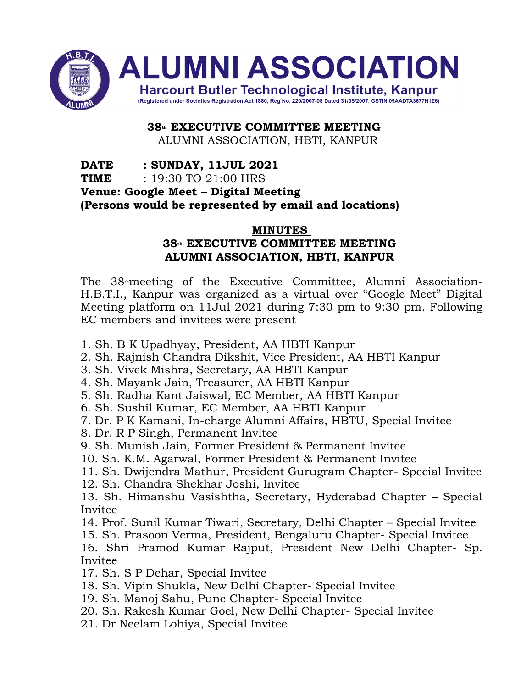

**38th EXECUTIVE COMMITTEE MEETING** ALUMNI ASSOCIATION, HBTI, KANPUR

**DATE : SUNDAY, 11JUL 2021 TIME** : 19:30 TO 21:00 HRS **Venue: Google Meet – Digital Meeting (Persons would be represented by email and locations)**

#### **MINUTES**

# **38th EXECUTIVE COMMITTEE MEETING ALUMNI ASSOCIATION, HBTI, KANPUR**

The 38<sup>th</sup>meeting of the Executive Committee, Alumni Association-H.B.T.I., Kanpur was organized as a virtual over "Google Meet" Digital Meeting platform on 11Jul 2021 during 7:30 pm to 9:30 pm. Following EC members and invitees were present

- 1. Sh. B K Upadhyay, President, AA HBTI Kanpur
- 2. Sh. Rajnish Chandra Dikshit, Vice President, AA HBTI Kanpur
- 3. Sh. Vivek Mishra, Secretary, AA HBTI Kanpur
- 4. Sh. Mayank Jain, Treasurer, AA HBTI Kanpur
- 5. Sh. Radha Kant Jaiswal, EC Member, AA HBTI Kanpur
- 6. Sh. Sushil Kumar, EC Member, AA HBTI Kanpur
- 7. Dr. P K Kamani, In-charge Alumni Affairs, HBTU, Special Invitee
- 8. Dr. R P Singh, Permanent Invitee
- 9. Sh. Munish Jain, Former President & Permanent Invitee
- 10. Sh. K.M. Agarwal, Former President & Permanent Invitee
- 11. Sh. Dwijendra Mathur, President Gurugram Chapter- Special Invitee
- 12. Sh. Chandra Shekhar Joshi, Invitee
- 13. Sh. Himanshu Vasishtha, Secretary, Hyderabad Chapter Special Invitee
- 14. Prof. Sunil Kumar Tiwari, Secretary, Delhi Chapter Special Invitee
- 15. Sh. Prasoon Verma, President, Bengaluru Chapter- Special Invitee

16. Shri Pramod Kumar Rajput, President New Delhi Chapter- Sp. Invitee

- 17. Sh. S P Dehar, Special Invitee
- 18. Sh. Vipin Shukla, New Delhi Chapter- Special Invitee
- 19. Sh. Manoj Sahu, Pune Chapter- Special Invitee
- 20. Sh. Rakesh Kumar Goel, New Delhi Chapter- Special Invitee
- 21. Dr Neelam Lohiya, Special Invitee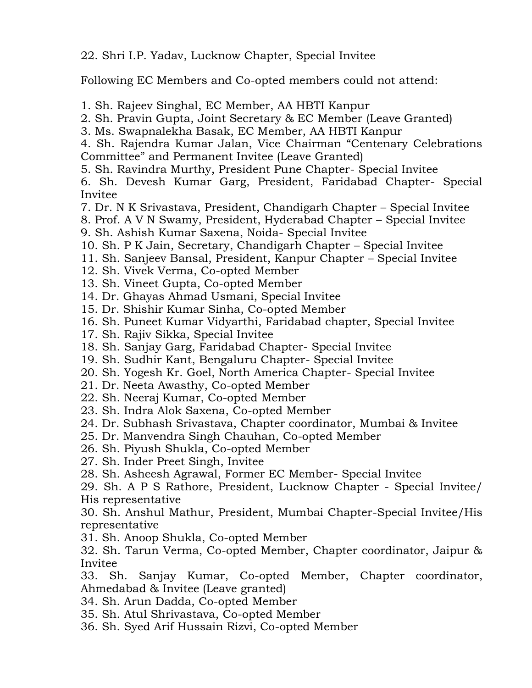22. Shri I.P. Yadav, Lucknow Chapter, Special Invitee

Following EC Members and Co-opted members could not attend:

1. Sh. Rajeev Singhal, EC Member, AA HBTI Kanpur

2. Sh. Pravin Gupta, Joint Secretary & EC Member (Leave Granted)

3. Ms. Swapnalekha Basak, EC Member, AA HBTI Kanpur

4. Sh. Rajendra Kumar Jalan, Vice Chairman "Centenary Celebrations Committee" and Permanent Invitee (Leave Granted)

5. Sh. Ravindra Murthy, President Pune Chapter- Special Invitee

6. Sh. Devesh Kumar Garg, President, Faridabad Chapter- Special Invitee

7. Dr. N K Srivastava, President, Chandigarh Chapter – Special Invitee

8. Prof. A V N Swamy, President, Hyderabad Chapter – Special Invitee

9. Sh. Ashish Kumar Saxena, Noida- Special Invitee

10. Sh. P K Jain, Secretary, Chandigarh Chapter – Special Invitee

11. Sh. Sanjeev Bansal, President, Kanpur Chapter – Special Invitee

12. Sh. Vivek Verma, Co-opted Member

13. Sh. Vineet Gupta, Co-opted Member

14. Dr. Ghayas Ahmad Usmani, Special Invitee

15. Dr. Shishir Kumar Sinha, Co-opted Member

16. Sh. Puneet Kumar Vidyarthi, Faridabad chapter, Special Invitee

17. Sh. Rajiv Sikka, Special Invitee

18. Sh. Sanjay Garg, Faridabad Chapter- Special Invitee

19. Sh. Sudhir Kant, Bengaluru Chapter- Special Invitee

20. Sh. Yogesh Kr. Goel, North America Chapter- Special Invitee

21. Dr. Neeta Awasthy, Co-opted Member

22. Sh. Neeraj Kumar, Co-opted Member

23. Sh. Indra Alok Saxena, Co-opted Member

24. Dr. Subhash Srivastava, Chapter coordinator, Mumbai & Invitee

25. Dr. Manvendra Singh Chauhan, Co-opted Member

26. Sh. Piyush Shukla, Co-opted Member

27. Sh. Inder Preet Singh, Invitee

28. Sh. Asheesh Agrawal, Former EC Member- Special Invitee

29. Sh. A P S Rathore, President, Lucknow Chapter - Special Invitee/ His representative

30. Sh. Anshul Mathur, President, Mumbai Chapter-Special Invitee/His representative

31. Sh. Anoop Shukla, Co-opted Member

32. Sh. Tarun Verma, Co-opted Member, Chapter coordinator, Jaipur & Invitee

33. Sh. Sanjay Kumar, Co-opted Member, Chapter coordinator, Ahmedabad & Invitee (Leave granted)

34. Sh. Arun Dadda, Co-opted Member

35. Sh. Atul Shrivastava, Co-opted Member

36. Sh. Syed Arif Hussain Rizvi, Co-opted Member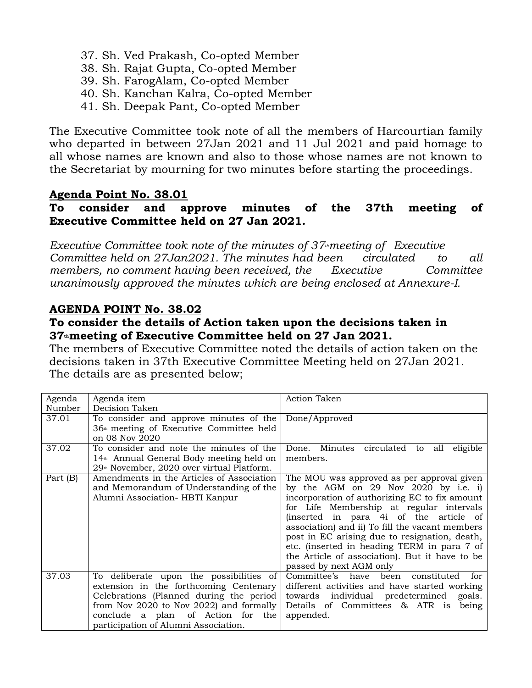- 37. Sh. Ved Prakash, Co-opted Member
- 38. Sh. Rajat Gupta, Co-opted Member
- 39. Sh. FarogAlam, Co-opted Member
- 40. Sh. Kanchan Kalra, Co-opted Member
- 41. Sh. Deepak Pant, Co-opted Member

The Executive Committee took note of all the members of Harcourtian family who departed in between 27Jan 2021 and 11 Jul 2021 and paid homage to all whose names are known and also to those whose names are not known to the Secretariat by mourning for two minutes before starting the proceedings.

#### **Agenda Point No. 38.01**

### **To consider and approve minutes of the 37th meeting of Executive Committee held on 27 Jan 2021.**

*Executive Committee took note of the minutes of 37thmeeting of Executive Committee held on 27Jan2021. The minutes had been circulated to all members, no comment having been received, the Executive Committee unanimously approved the minutes which are being enclosed at Annexure-I.*

# **AGENDA POINT No. 38.02**

#### **To consider the details of Action taken upon the decisions taken in 37thmeeting of Executive Committee held on 27 Jan 2021.**

The members of Executive Committee noted the details of action taken on the decisions taken in 37th Executive Committee Meeting held on 27Jan 2021. The details are as presented below;

| Agenda   | Agenda item                                                                                                                                                                                                                                          | <b>Action Taken</b>                                                                                                                                                                                                                                                                                                                                                                                                                                       |
|----------|------------------------------------------------------------------------------------------------------------------------------------------------------------------------------------------------------------------------------------------------------|-----------------------------------------------------------------------------------------------------------------------------------------------------------------------------------------------------------------------------------------------------------------------------------------------------------------------------------------------------------------------------------------------------------------------------------------------------------|
| Number   | Decision Taken                                                                                                                                                                                                                                       |                                                                                                                                                                                                                                                                                                                                                                                                                                                           |
| 37.01    | To consider and approve minutes of the<br>36 <sup>th</sup> meeting of Executive Committee held<br>on 08 Nov 2020                                                                                                                                     | Done/Approved                                                                                                                                                                                                                                                                                                                                                                                                                                             |
| 37.02    | To consider and note the minutes of the<br>14 <sup>th</sup> Annual General Body meeting held on<br>29 <sup>th</sup> November, 2020 over virtual Platform.                                                                                            | Done. Minutes circulated to<br>all<br>eligible<br>members.                                                                                                                                                                                                                                                                                                                                                                                                |
| Part (B) | Amendments in the Articles of Association<br>and Memorandum of Understanding of the<br>Alumni Association- HBTI Kanpur                                                                                                                               | The MOU was approved as per approval given<br>by the AGM on 29 Nov 2020 by i.e. i)<br>incorporation of authorizing EC to fix amount<br>for Life Membership at regular intervals<br>(inserted in para 4i of the article of<br>association) and ii) To fill the vacant members<br>post in EC arising due to resignation, death,<br>etc. (inserted in heading TERM in para 7 of<br>the Article of association). But it have to be<br>passed by next AGM only |
| 37.03    | To deliberate upon the possibilities of<br>extension in the forthcoming Centenary<br>Celebrations (Planned during the period<br>from Nov 2020 to Nov 2022) and formally<br>conclude a plan of Action for the<br>participation of Alumni Association. | Committee's have<br>constituted<br>been<br>for<br>different activities and have started working<br>towards individual predetermined<br>goals.<br>Details of Committees & ATR is<br>being<br>appended.                                                                                                                                                                                                                                                     |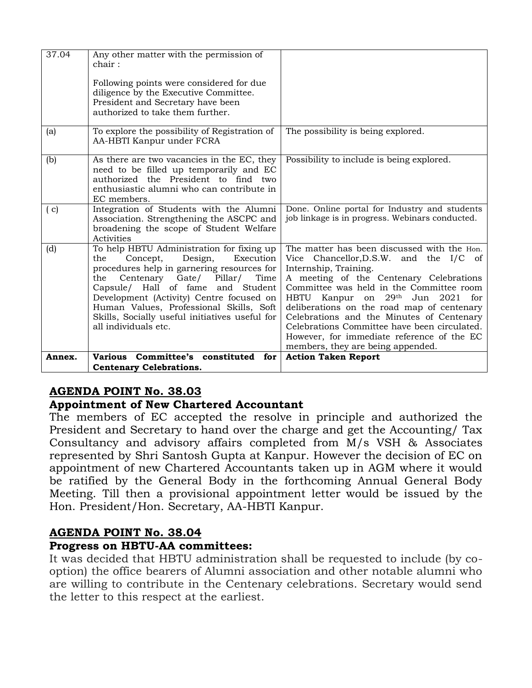| 37.04  | Any other matter with the permission of<br>chair :                                                                                                                                                                                                                                                                                                                              |                                                                                                                                                                                                                                                                                                                                                                                                                                                                         |
|--------|---------------------------------------------------------------------------------------------------------------------------------------------------------------------------------------------------------------------------------------------------------------------------------------------------------------------------------------------------------------------------------|-------------------------------------------------------------------------------------------------------------------------------------------------------------------------------------------------------------------------------------------------------------------------------------------------------------------------------------------------------------------------------------------------------------------------------------------------------------------------|
|        | Following points were considered for due<br>diligence by the Executive Committee.<br>President and Secretary have been<br>authorized to take them further.                                                                                                                                                                                                                      |                                                                                                                                                                                                                                                                                                                                                                                                                                                                         |
| (a)    | To explore the possibility of Registration of<br>AA-HBTI Kanpur under FCRA                                                                                                                                                                                                                                                                                                      | The possibility is being explored.                                                                                                                                                                                                                                                                                                                                                                                                                                      |
| (b)    | As there are two vacancies in the EC, they<br>need to be filled up temporarily and EC<br>authorized the President to find two<br>enthusiastic alumni who can contribute in<br>EC members.                                                                                                                                                                                       | Possibility to include is being explored.                                                                                                                                                                                                                                                                                                                                                                                                                               |
| (c)    | Integration of Students with the Alumni<br>Association. Strengthening the ASCPC and<br>broadening the scope of Student Welfare<br>Activities                                                                                                                                                                                                                                    | Done. Online portal for Industry and students<br>job linkage is in progress. Webinars conducted.                                                                                                                                                                                                                                                                                                                                                                        |
| (d)    | To help HBTU Administration for fixing up<br>the<br>Concept, Design,<br>Execution<br>procedures help in garnering resources for<br>Centenary Gate/ Pillar/<br>Time<br>the<br>Capsule/ Hall of fame and Student<br>Development (Activity) Centre focused on<br>Human Values, Professional Skills, Soft<br>Skills, Socially useful initiatives useful for<br>all individuals etc. | The matter has been discussed with the Hon.<br>Vice Chancellor, D.S.W. and the I/C of<br>Internship, Training.<br>A meeting of the Centenary Celebrations<br>Committee was held in the Committee room<br>HBTU Kanpur on 29th Jun 2021 for<br>deliberations on the road map of centenary<br>Celebrations and the Minutes of Centenary<br>Celebrations Committee have been circulated.<br>However, for immediate reference of the EC<br>members, they are being appended. |
| Annex. | Committee's constituted for<br><b>Various</b>                                                                                                                                                                                                                                                                                                                                   | <b>Action Taken Report</b>                                                                                                                                                                                                                                                                                                                                                                                                                                              |
|        | <b>Centenary Celebrations.</b>                                                                                                                                                                                                                                                                                                                                                  |                                                                                                                                                                                                                                                                                                                                                                                                                                                                         |

# **AGENDA POINT No. 38.03**

#### **Appointment of New Chartered Accountant**

The members of EC accepted the resolve in principle and authorized the President and Secretary to hand over the charge and get the Accounting/ Tax Consultancy and advisory affairs completed from M/s VSH & Associates represented by Shri Santosh Gupta at Kanpur. However the decision of EC on appointment of new Chartered Accountants taken up in AGM where it would be ratified by the General Body in the forthcoming Annual General Body Meeting. Till then a provisional appointment letter would be issued by the Hon. President/Hon. Secretary, AA-HBTI Kanpur.

# **AGENDA POINT No. 38.04**

#### **Progress on HBTU-AA committees:**

It was decided that HBTU administration shall be requested to include (by cooption) the office bearers of Alumni association and other notable alumni who are willing to contribute in the Centenary celebrations. Secretary would send the letter to this respect at the earliest.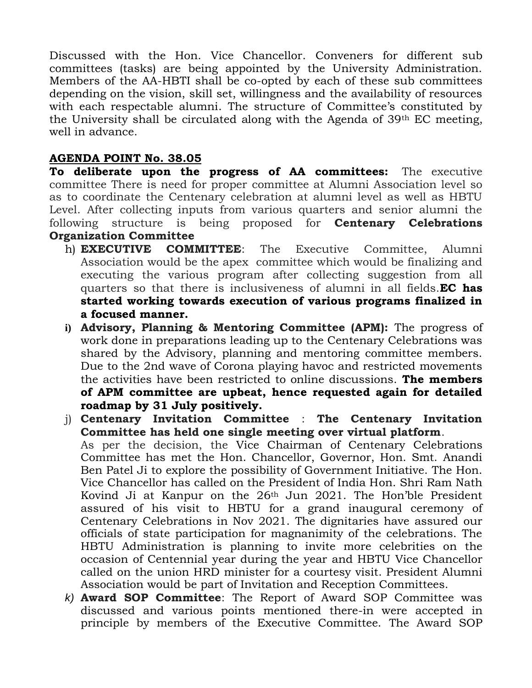Discussed with the Hon. Vice Chancellor. Conveners for different sub committees (tasks) are being appointed by the University Administration. Members of the AA-HBTI shall be co-opted by each of these sub committees depending on the vision, skill set, willingness and the availability of resources with each respectable alumni. The structure of Committee's constituted by the University shall be circulated along with the Agenda of 39th EC meeting, well in advance.

# **AGENDA POINT No. 38.05**

**To deliberate upon the progress of AA committees:** The executive committee There is need for proper committee at Alumni Association level so as to coordinate the Centenary celebration at alumni level as well as HBTU Level. After collecting inputs from various quarters and senior alumni the following structure is being proposed for **Centenary Celebrations Organization Committee**

- h) **EXECUTIVE COMMITTEE**: The Executive Committee, Alumni Association would be the apex committee which would be finalizing and executing the various program after collecting suggestion from all quarters so that there is inclusiveness of alumni in all fields.**EC has started working towards execution of various programs finalized in a focused manner.**
- **i) Advisory, Planning & Mentoring Committee (APM):** The progress of work done in preparations leading up to the Centenary Celebrations was shared by the Advisory, planning and mentoring committee members. Due to the 2nd wave of Corona playing havoc and restricted movements the activities have been restricted to online discussions. **The members of APM committee are upbeat, hence requested again for detailed roadmap by 31 July positively.**
- j) **Centenary Invitation Committee** : **The Centenary Invitation Committee has held one single meeting over virtual platform**. As per the decision, the Vice Chairman of Centenary Celebrations Committee has met the Hon. Chancellor, Governor, Hon. Smt. Anandi Ben Patel Ji to explore the possibility of Government Initiative. The Hon. Vice Chancellor has called on the President of India Hon. Shri Ram Nath Kovind Ji at Kanpur on the 26th Jun 2021. The Hon'ble President assured of his visit to HBTU for a grand inaugural ceremony of Centenary Celebrations in Nov 2021. The dignitaries have assured our officials of state participation for magnanimity of the celebrations. The HBTU Administration is planning to invite more celebrities on the occasion of Centennial year during the year and HBTU Vice Chancellor called on the union HRD minister for a courtesy visit. President Alumni Association would be part of Invitation and Reception Committees.
- *k)* **Award SOP Committee**: The Report of Award SOP Committee was discussed and various points mentioned there-in were accepted in principle by members of the Executive Committee. The Award SOP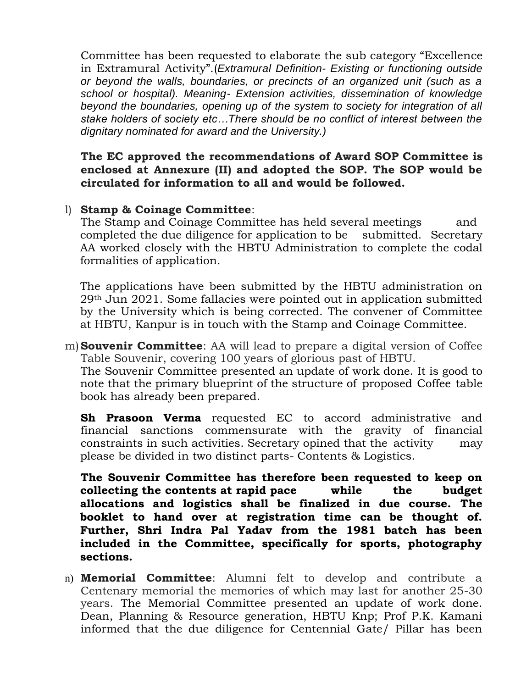Committee has been requested to elaborate the sub category "Excellence in Extramural Activity".(*Extramural Definition- Existing or functioning outside or beyond the walls, boundaries, or precincts of an organized unit (such as a school or hospital). Meaning- Extension activities, dissemination of knowledge beyond the boundaries, opening up of the system to society for integration of all stake holders of society etc…There should be no conflict of interest between the dignitary nominated for award and the University.)*

**The EC approved the recommendations of Award SOP Committee is enclosed at Annexure (II) and adopted the SOP. The SOP would be circulated for information to all and would be followed.** 

#### l) **Stamp & Coinage Committee**:

The Stamp and Coinage Committee has held several meetings and completed the due diligence for application to be submitted. Secretary AA worked closely with the HBTU Administration to complete the codal formalities of application.

The applications have been submitted by the HBTU administration on 29th Jun 2021. Some fallacies were pointed out in application submitted by the University which is being corrected. The convener of Committee at HBTU, Kanpur is in touch with the Stamp and Coinage Committee.

m)**Souvenir Committee**: AA will lead to prepare a digital version of Coffee Table Souvenir, covering 100 years of glorious past of HBTU.

The Souvenir Committee presented an update of work done. It is good to note that the primary blueprint of the structure of proposed Coffee table book has already been prepared.

**Sh Prasoon Verma** requested EC to accord administrative and financial sanctions commensurate with the gravity of financial constraints in such activities. Secretary opined that the activity may please be divided in two distinct parts- Contents & Logistics.

**The Souvenir Committee has therefore been requested to keep on collecting the contents at rapid pace while the budget allocations and logistics shall be finalized in due course. The booklet to hand over at registration time can be thought of. Further, Shri Indra Pal Yadav from the 1981 batch has been included in the Committee, specifically for sports, photography sections.**

n) **Memorial Committee**: Alumni felt to develop and contribute a Centenary memorial the memories of which may last for another 25-30 years. The Memorial Committee presented an update of work done. Dean, Planning & Resource generation, HBTU Knp; Prof P.K. Kamani informed that the due diligence for Centennial Gate/ Pillar has been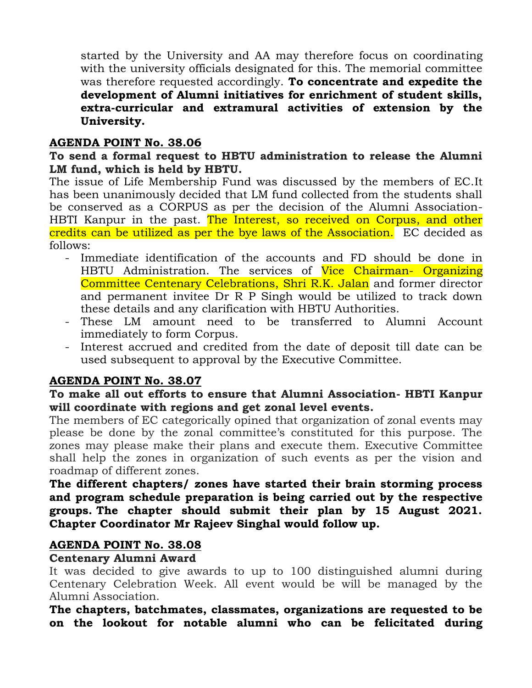started by the University and AA may therefore focus on coordinating with the university officials designated for this. The memorial committee was therefore requested accordingly. **To concentrate and expedite the development of Alumni initiatives for enrichment of student skills, extra-curricular and extramural activities of extension by the University.**

#### **AGENDA POINT No. 38.06**

#### **To send a formal request to HBTU administration to release the Alumni LM fund, which is held by HBTU.**

The issue of Life Membership Fund was discussed by the members of EC.It has been unanimously decided that LM fund collected from the students shall be conserved as a CORPUS as per the decision of the Alumni Association-HBTI Kanpur in the past. The Interest, so received on Corpus, and other credits can be utilized as per the bye laws of the Association. EC decided as follows:

- Immediate identification of the accounts and FD should be done in HBTU Administration. The services of Vice Chairman- Organizing Committee Centenary Celebrations, Shri R.K. Jalan and former director and permanent invitee Dr R P Singh would be utilized to track down these details and any clarification with HBTU Authorities.
- These LM amount need to be transferred to Alumni Account immediately to form Corpus.
- Interest accrued and credited from the date of deposit till date can be used subsequent to approval by the Executive Committee.

# **AGENDA POINT No. 38.07**

# **To make all out efforts to ensure that Alumni Association- HBTI Kanpur will coordinate with regions and get zonal level events.**

The members of EC categorically opined that organization of zonal events may please be done by the zonal committee's constituted for this purpose. The zones may please make their plans and execute them. Executive Committee shall help the zones in organization of such events as per the vision and roadmap of different zones.

#### **The different chapters/ zones have started their brain storming process and program schedule preparation is being carried out by the respective groups. The chapter should submit their plan by 15 August 2021. Chapter Coordinator Mr Rajeev Singhal would follow up.**

#### **AGENDA POINT No. 38.08**

#### **Centenary Alumni Award**

It was decided to give awards to up to 100 distinguished alumni during Centenary Celebration Week. All event would be will be managed by the Alumni Association.

**The chapters, batchmates, classmates, organizations are requested to be on the lookout for notable alumni who can be felicitated during**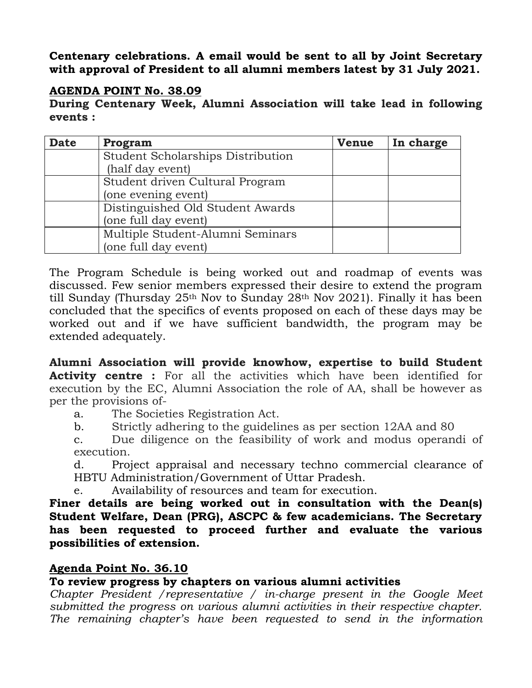**Centenary celebrations. A email would be sent to all by Joint Secretary with approval of President to all alumni members latest by 31 July 2021.** 

#### **AGENDA POINT No. 38.09**

**During Centenary Week, Alumni Association will take lead in following events :**

| <b>Date</b> | Program                           | <b>Venue</b> | In charge |
|-------------|-----------------------------------|--------------|-----------|
|             | Student Scholarships Distribution |              |           |
|             | (half day event)                  |              |           |
|             | Student driven Cultural Program   |              |           |
|             | (one evening event)               |              |           |
|             | Distinguished Old Student Awards  |              |           |
|             | (one full day event)              |              |           |
|             | Multiple Student-Alumni Seminars  |              |           |
|             | (one full day event)              |              |           |

The Program Schedule is being worked out and roadmap of events was discussed. Few senior members expressed their desire to extend the program till Sunday (Thursday 25th Nov to Sunday 28th Nov 2021). Finally it has been concluded that the specifics of events proposed on each of these days may be worked out and if we have sufficient bandwidth, the program may be extended adequately.

**Alumni Association will provide knowhow, expertise to build Student Activity centre :** For all the activities which have been identified for execution by the EC, Alumni Association the role of AA, shall be however as per the provisions of-

a. The Societies Registration Act.

b. Strictly adhering to the guidelines as per section 12AA and 80

c. Due diligence on the feasibility of work and modus operandi of execution.

d. Project appraisal and necessary techno commercial clearance of HBTU Administration/Government of Uttar Pradesh.

e. Availability of resources and team for execution.

**Finer details are being worked out in consultation with the Dean(s) Student Welfare, Dean (PRG), ASCPC & few academicians. The Secretary has been requested to proceed further and evaluate the various possibilities of extension.**

# **Agenda Point No. 36.10**

# **To review progress by chapters on various alumni activities**

*Chapter President / representative / in-charge present in the Google Meet submitted the progress on various alumni activities in their respective chapter. The remaining chapter's have been requested to send in the information*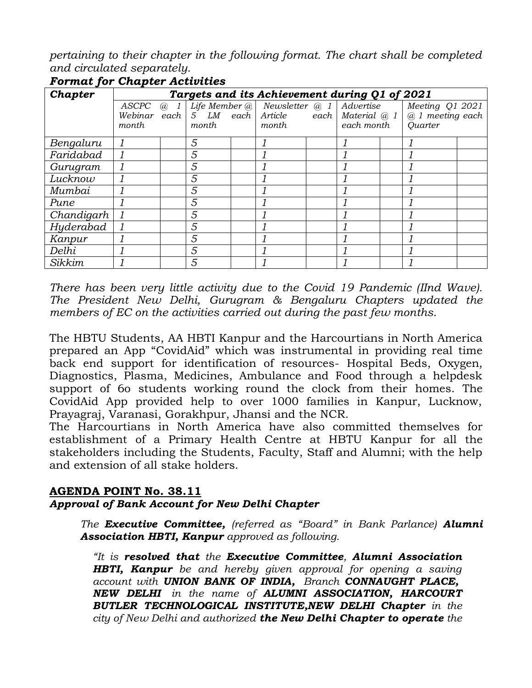*pertaining to their chapter in the following format. The chart shall be completed and circulated separately.*

| Chapter                 |                                |            |       | Targets and its Achievement during Q1 of 2021 |  |                         |  |                                                                                      |  |
|-------------------------|--------------------------------|------------|-------|-----------------------------------------------|--|-------------------------|--|--------------------------------------------------------------------------------------|--|
|                         | ASCPC<br>Webinar each<br>month | $\omega$ 1 | month | Life Member $@$ Newsletter $@$ 1<br>month     |  | Advertise<br>each month |  | Meeting Q1 2021<br>$5$ LM each Article each Material $@1 @1$ meeting each<br>Quarter |  |
| Bengaluru               |                                |            | 5     |                                               |  |                         |  |                                                                                      |  |
| Faridabad               |                                |            | 5     |                                               |  |                         |  |                                                                                      |  |
| Gurugram                |                                |            | 5     |                                               |  |                         |  |                                                                                      |  |
| Lucknow                 |                                |            | 5     |                                               |  |                         |  |                                                                                      |  |
| Mumbai                  |                                |            | 5     |                                               |  |                         |  |                                                                                      |  |
| Pune                    |                                |            | 5     |                                               |  |                         |  |                                                                                      |  |
| $\overline{Chandigarh}$ |                                |            | 5     |                                               |  |                         |  |                                                                                      |  |
| Hyderabad               |                                |            | 5     |                                               |  |                         |  |                                                                                      |  |
| Kanpur                  |                                |            | 5     |                                               |  |                         |  |                                                                                      |  |
| Delhi                   |                                |            | 5     |                                               |  |                         |  |                                                                                      |  |
| Sikkim                  |                                |            | 5     |                                               |  |                         |  |                                                                                      |  |

#### *Format for Chapter Activities*

*There has been very little activity due to the Covid 19 Pandemic (IInd Wave). The President New Delhi, Gurugram & Bengaluru Chapters updated the members of EC on the activities carried out during the past few months.* 

The HBTU Students, AA HBTI Kanpur and the Harcourtians in North America prepared an App "CovidAid" which was instrumental in providing real time back end support for identification of resources- Hospital Beds, Oxygen, Diagnostics, Plasma, Medicines, Ambulance and Food through a helpdesk support of 6o students working round the clock from their homes. The CovidAid App provided help to over 1000 families in Kanpur, Lucknow, Prayagraj, Varanasi, Gorakhpur, Jhansi and the NCR.

The Harcourtians in North America have also committed themselves for establishment of a Primary Health Centre at HBTU Kanpur for all the stakeholders including the Students, Faculty, Staff and Alumni; with the help and extension of all stake holders.

# **AGENDA POINT No. 38.11**

#### *Approval of Bank Account for New Delhi Chapter*

*The Executive Committee, (referred as "Board" in Bank Parlance) Alumni Association HBTI, Kanpur approved as following.*

*"It is resolved that the Executive Committee, Alumni Association HBTI, Kanpur be and hereby given approval for opening a saving account with UNION BANK OF INDIA, Branch CONNAUGHT PLACE, NEW DELHI in the name of ALUMNI ASSOCIATION, HARCOURT BUTLER TECHNOLOGICAL INSTITUTE,NEW DELHI Chapter in the city of New Delhi and authorized the New Delhi Chapter to operate the*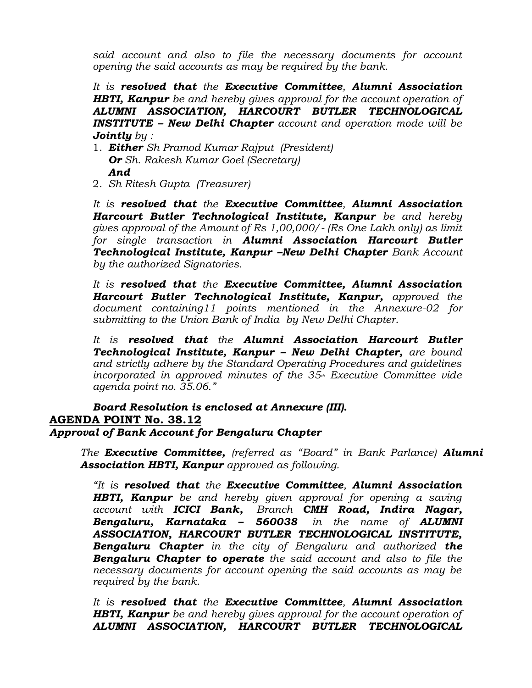*said account and also to file the necessary documents for account opening the said accounts as may be required by the bank.*

*It is resolved that the Executive Committee, Alumni Association HBTI, Kanpur be and hereby gives approval for the account operation of ALUMNI ASSOCIATION, HARCOURT BUTLER TECHNOLOGICAL INSTITUTE – New Delhi Chapter account and operation mode will be Jointly by :*

- 1. *Either Sh Pramod Kumar Rajput (President) Or Sh. Rakesh Kumar Goel (Secretary) And*
- 2. *Sh Ritesh Gupta (Treasurer)*

*It is resolved that the Executive Committee, Alumni Association Harcourt Butler Technological Institute, Kanpur be and hereby gives approval of the Amount of Rs 1,00,000/- (Rs One Lakh only) as limit for single transaction in Alumni Association Harcourt Butler Technological Institute, Kanpur –New Delhi Chapter Bank Account by the authorized Signatories.*

*It is resolved that the Executive Committee, Alumni Association Harcourt Butler Technological Institute, Kanpur, approved the document containing11 points mentioned in the Annexure-02 for submitting to the Union Bank of India by New Delhi Chapter.* 

*It is resolved that the Alumni Association Harcourt Butler Technological Institute, Kanpur – New Delhi Chapter, are bound and strictly adhere by the Standard Operating Procedures and guidelines incorporated in approved minutes of the 35th Executive Committee vide agenda point no. 35.06."*

#### *Board Resolution is enclosed at Annexure (III).* **AGENDA POINT No. 38.12** *Approval of Bank Account for Bengaluru Chapter*

*The Executive Committee, (referred as "Board" in Bank Parlance) Alumni Association HBTI, Kanpur approved as following.*

*"It is resolved that the Executive Committee, Alumni Association HBTI, Kanpur be and hereby given approval for opening a saving account with ICICI Bank, Branch CMH Road, Indira Nagar, Bengaluru, Karnataka – 560038 in the name of ALUMNI ASSOCIATION, HARCOURT BUTLER TECHNOLOGICAL INSTITUTE, Bengaluru Chapter in the city of Bengaluru and authorized the Bengaluru Chapter to operate the said account and also to file the necessary documents for account opening the said accounts as may be required by the bank.*

*It is resolved that the Executive Committee, Alumni Association HBTI, Kanpur be and hereby gives approval for the account operation of ALUMNI ASSOCIATION, HARCOURT BUTLER TECHNOLOGICAL*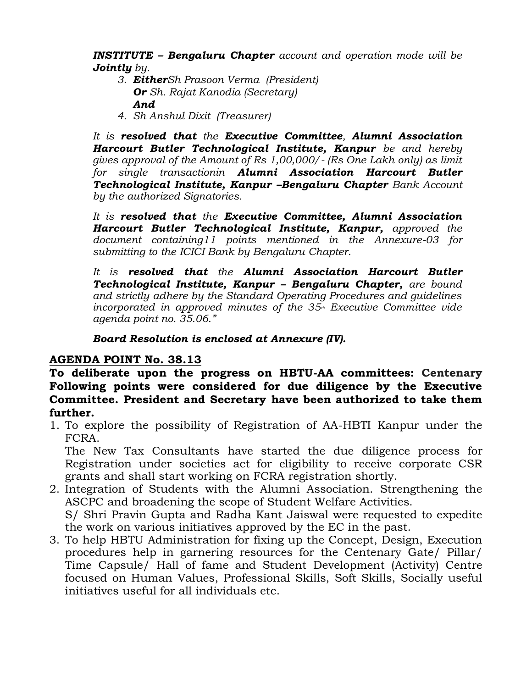*INSTITUTE – Bengaluru Chapter account and operation mode will be Jointly by.*

- *3. EitherSh Prasoon Verma (President) Or Sh. Rajat Kanodia (Secretary) And*
- *4. Sh Anshul Dixit (Treasurer)*

*It is resolved that the Executive Committee, Alumni Association Harcourt Butler Technological Institute, Kanpur be and hereby gives approval of the Amount of Rs 1,00,000/- (Rs One Lakh only) as limit for single transactionin Alumni Association Harcourt Butler Technological Institute, Kanpur –Bengaluru Chapter Bank Account by the authorized Signatories.*

*It is resolved that the Executive Committee, Alumni Association Harcourt Butler Technological Institute, Kanpur, approved the document containing11 points mentioned in the Annexure-03 for submitting to the ICICI Bank by Bengaluru Chapter.* 

*It is resolved that the Alumni Association Harcourt Butler Technological Institute, Kanpur – Bengaluru Chapter, are bound and strictly adhere by the Standard Operating Procedures and guidelines incorporated in approved minutes of the 35th Executive Committee vide agenda point no. 35.06."*

*Board Resolution is enclosed at Annexure (IV).*

# **AGENDA POINT No. 38.13**

**To deliberate upon the progress on HBTU-AA committees: Centenary Following points were considered for due diligence by the Executive Committee. President and Secretary have been authorized to take them further.**

1. To explore the possibility of Registration of AA-HBTI Kanpur under the FCRA.

The New Tax Consultants have started the due diligence process for Registration under societies act for eligibility to receive corporate CSR grants and shall start working on FCRA registration shortly.

- 2. Integration of Students with the Alumni Association. Strengthening the ASCPC and broadening the scope of Student Welfare Activities. S/ Shri Pravin Gupta and Radha Kant Jaiswal were requested to expedite the work on various initiatives approved by the EC in the past.
- 3. To help HBTU Administration for fixing up the Concept, Design, Execution procedures help in garnering resources for the Centenary Gate/ Pillar/ Time Capsule/ Hall of fame and Student Development (Activity) Centre focused on Human Values, Professional Skills, Soft Skills, Socially useful initiatives useful for all individuals etc.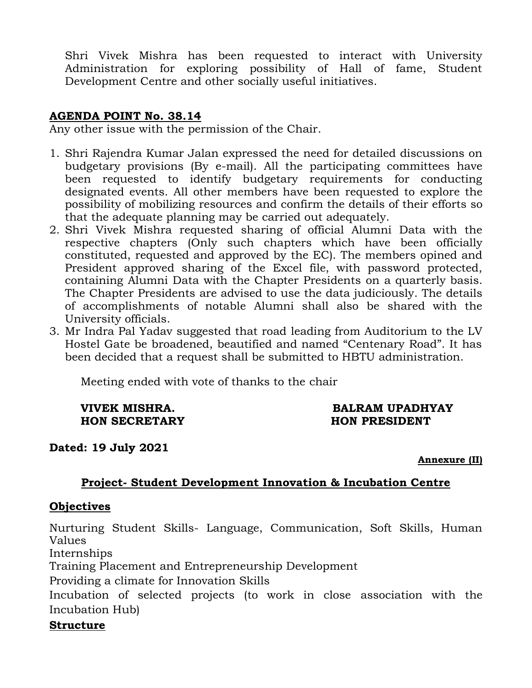Shri Vivek Mishra has been requested to interact with University Administration for exploring possibility of Hall of fame, Student Development Centre and other socially useful initiatives.

#### **AGENDA POINT No. 38.14**

Any other issue with the permission of the Chair.

- 1. Shri Rajendra Kumar Jalan expressed the need for detailed discussions on budgetary provisions (By e-mail). All the participating committees have been requested to identify budgetary requirements for conducting designated events. All other members have been requested to explore the possibility of mobilizing resources and confirm the details of their efforts so that the adequate planning may be carried out adequately.
- 2. Shri Vivek Mishra requested sharing of official Alumni Data with the respective chapters (Only such chapters which have been officially constituted, requested and approved by the EC). The members opined and President approved sharing of the Excel file, with password protected, containing Alumni Data with the Chapter Presidents on a quarterly basis. The Chapter Presidents are advised to use the data judiciously. The details of accomplishments of notable Alumni shall also be shared with the University officials.
- 3. Mr Indra Pal Yadav suggested that road leading from Auditorium to the LV Hostel Gate be broadened, beautified and named "Centenary Road". It has been decided that a request shall be submitted to HBTU administration.

Meeting ended with vote of thanks to the chair

**HON SECRETARY HON PRESIDENT**

# **VIVEK MISHRA. BALRAM UPADHYAY**

**Dated: 19 July 2021**

**Annexure (II)**

#### **Project- Student Development Innovation & Incubation Centre**

#### **Objectives**

Nurturing Student Skills- Language, Communication, Soft Skills, Human Values

Internships

Training Placement and Entrepreneurship Development

Providing a climate for Innovation Skills

Incubation of selected projects (to work in close association with the Incubation Hub)

#### **Structure**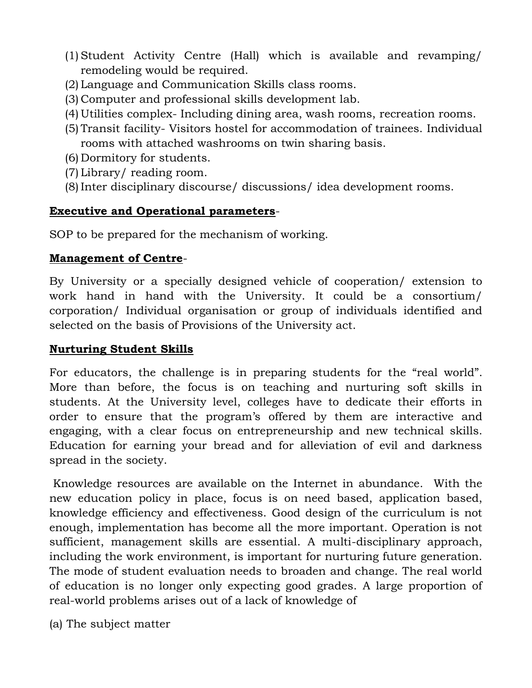- (1)Student Activity Centre (Hall) which is available and revamping/ remodeling would be required.
- (2) Language and Communication Skills class rooms.
- (3) Computer and professional skills development lab.
- (4) Utilities complex- Including dining area, wash rooms, recreation rooms.
- (5) Transit facility- Visitors hostel for accommodation of trainees. Individual rooms with attached washrooms on twin sharing basis.
- (6) Dormitory for students.
- (7) Library/ reading room.
- (8)Inter disciplinary discourse/ discussions/ idea development rooms.

# **Executive and Operational parameters**-

SOP to be prepared for the mechanism of working.

# **Management of Centre**-

By University or a specially designed vehicle of cooperation/ extension to work hand in hand with the University. It could be a consortium/ corporation/ Individual organisation or group of individuals identified and selected on the basis of Provisions of the University act.

# **Nurturing Student Skills**

For educators, the challenge is in preparing students for the "real world". More than before, the focus is on teaching and nurturing soft skills in students. At the University level, colleges have to dedicate their efforts in order to ensure that the program's offered by them are interactive and engaging, with a clear focus on entrepreneurship and new technical skills. Education for earning your bread and for alleviation of evil and darkness spread in the society.

Knowledge resources are available on the Internet in abundance. With the new education policy in place, focus is on need based, application based, knowledge efficiency and effectiveness. Good design of the curriculum is not enough, implementation has become all the more important. Operation is not sufficient, management skills are essential. A multi-disciplinary approach, including the work environment, is important for nurturing future generation. The mode of student evaluation needs to broaden and change. The real world of education is no longer only expecting good grades. A large proportion of real-world problems arises out of a lack of knowledge of

(a) The subject matter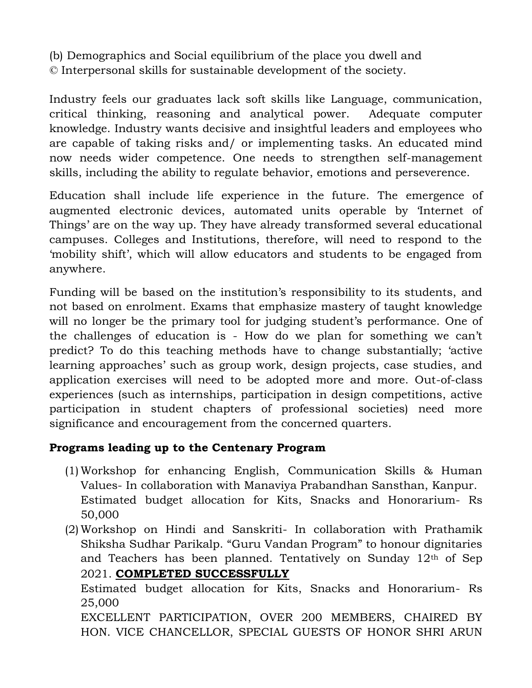(b) Demographics and Social equilibrium of the place you dwell and © Interpersonal skills for sustainable development of the society.

Industry feels our graduates lack soft skills like Language, communication, critical thinking, reasoning and analytical power. Adequate computer knowledge. Industry wants decisive and insightful leaders and employees who are capable of taking risks and/ or implementing tasks. An educated mind now needs wider competence. One needs to strengthen self-management skills, including the ability to regulate behavior, emotions and perseverence.

Education shall include life experience in the future. The emergence of augmented electronic devices, automated units operable by 'Internet of Things' are on the way up. They have already transformed several educational campuses. Colleges and Institutions, therefore, will need to respond to the 'mobility shift', which will allow educators and students to be engaged from anywhere.

Funding will be based on the institution's responsibility to its students, and not based on enrolment. Exams that emphasize mastery of taught knowledge will no longer be the primary tool for judging student's performance. One of the challenges of education is - How do we plan for something we can't predict? To do this teaching methods have to change substantially; 'active learning approaches' such as group work, design projects, case studies, and application exercises will need to be adopted more and more. Out-of-class experiences (such as internships, participation in design competitions, active participation in student chapters of professional societies) need more significance and encouragement from the concerned quarters.

# **Programs leading up to the Centenary Program**

- (1) Workshop for enhancing English, Communication Skills & Human Values- In collaboration with Manaviya Prabandhan Sansthan, Kanpur. Estimated budget allocation for Kits, Snacks and Honorarium- Rs 50,000
- (2) Workshop on Hindi and Sanskriti- In collaboration with Prathamik Shiksha Sudhar Parikalp. "Guru Vandan Program" to honour dignitaries and Teachers has been planned. Tentatively on Sunday 12th of Sep 2021. **COMPLETED SUCCESSFULLY**

Estimated budget allocation for Kits, Snacks and Honorarium- Rs 25,000

EXCELLENT PARTICIPATION, OVER 200 MEMBERS, CHAIRED BY HON. VICE CHANCELLOR, SPECIAL GUESTS OF HONOR SHRI ARUN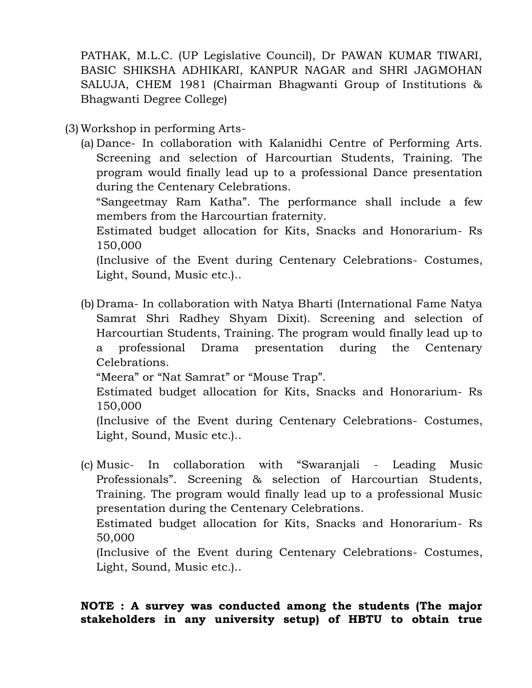PATHAK, M.L.C. (UP Legislative Council), Dr PAWAN KUMAR TIWARI, BASIC SHIKSHA ADHIKARI, KANPUR NAGAR and SHRI JAGMOHAN SALUJA, CHEM 1981 (Chairman Bhagwanti Group of Institutions & Bhagwanti Degree College)

(3) Workshop in performing Arts-

(a) Dance- In collaboration with Kalanidhi Centre of Performing Arts. Screening and selection of Harcourtian Students, Training. The program would finally lead up to a professional Dance presentation during the Centenary Celebrations.

"Sangeetmay Ram Katha". The performance shall include a few members from the Harcourtian fraternity.

Estimated budget allocation for Kits, Snacks and Honorarium- Rs 150,000

(Inclusive of the Event during Centenary Celebrations- Costumes, Light, Sound, Music etc.)..

(b) Drama- In collaboration with Natya Bharti (International Fame Natya Samrat Shri Radhey Shyam Dixit). Screening and selection of Harcourtian Students, Training. The program would finally lead up to a professional Drama presentation during the Centenary Celebrations.

"Meera" or "Nat Samrat" or "Mouse Trap".

Estimated budget allocation for Kits, Snacks and Honorarium- Rs 150,000

(Inclusive of the Event during Centenary Celebrations- Costumes, Light, Sound, Music etc.)..

(c) Music- In collaboration with "Swaranjali - Leading Music Professionals". Screening & selection of Harcourtian Students, Training. The program would finally lead up to a professional Music presentation during the Centenary Celebrations.

Estimated budget allocation for Kits, Snacks and Honorarium- Rs 50,000

(Inclusive of the Event during Centenary Celebrations- Costumes, Light, Sound, Music etc.)..

# **NOTE : A survey was conducted among the students (The major stakeholders in any university setup) of HBTU to obtain true**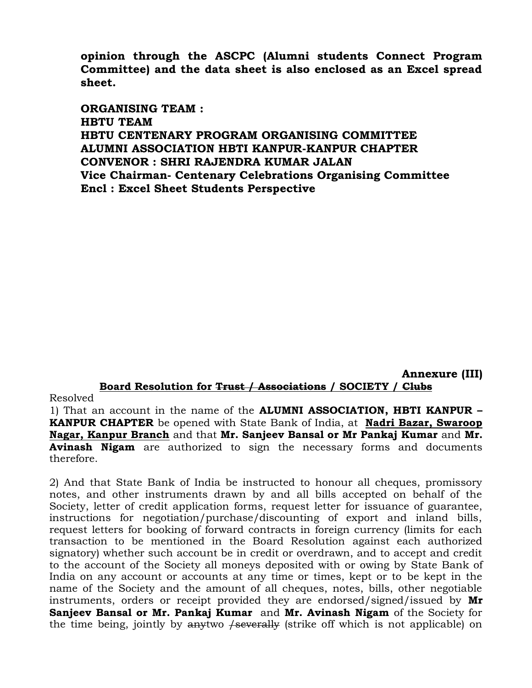**opinion through the ASCPC (Alumni students Connect Program Committee) and the data sheet is also enclosed as an Excel spread sheet.**

**ORGANISING TEAM : HBTU TEAM HBTU CENTENARY PROGRAM ORGANISING COMMITTEE ALUMNI ASSOCIATION HBTI KANPUR-KANPUR CHAPTER CONVENOR : SHRI RAJENDRA KUMAR JALAN Vice Chairman- Centenary Celebrations Organising Committee Encl : Excel Sheet Students Perspective**

**Annexure (III) Board Resolution for Trust / Associations / SOCIETY / Clubs**

Resolved

1) That an account in the name of the **ALUMNI ASSOCIATION, HBTI KANPUR – KANPUR CHAPTER** be opened with State Bank of India, at **Nadri Bazar, Swaroop Nagar, Kanpur Branch** and that **Mr. Sanjeev Bansal or Mr Pankaj Kumar** and **Mr. Avinash Nigam** are authorized to sign the necessary forms and documents therefore.

2) And that State Bank of India be instructed to honour all cheques, promissory notes, and other instruments drawn by and all bills accepted on behalf of the Society, letter of credit application forms, request letter for issuance of guarantee, instructions for negotiation/purchase/discounting of export and inland bills, request letters for booking of forward contracts in foreign currency (limits for each transaction to be mentioned in the Board Resolution against each authorized signatory) whether such account be in credit or overdrawn, and to accept and credit to the account of the Society all moneys deposited with or owing by State Bank of India on any account or accounts at any time or times, kept or to be kept in the name of the Society and the amount of all cheques, notes, bills, other negotiable instruments, orders or receipt provided they are endorsed/signed/issued by **Mr Sanjeev Bansal or Mr. Pankaj Kumar** and **Mr. Avinash Nigam** of the Society for the time being, jointly by  $\frac{4}{5}$  (strike off which is not applicable) on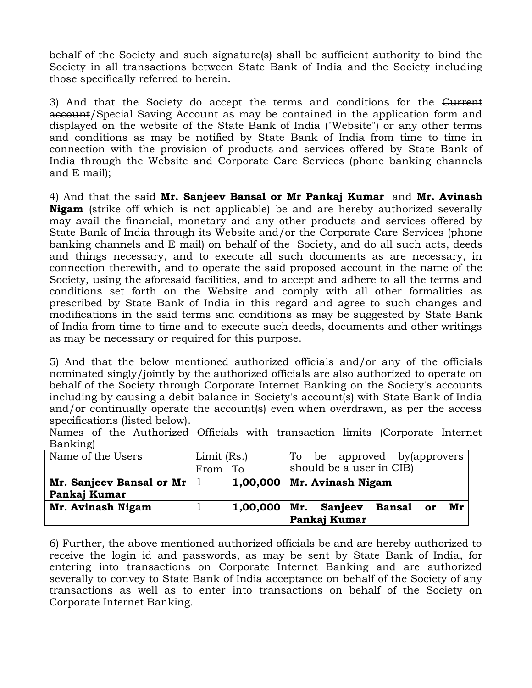behalf of the Society and such signature(s) shall be sufficient authority to bind the Society in all transactions between State Bank of India and the Society including those specifically referred to herein.

3) And that the Society do accept the terms and conditions for the Current account/Special Saving Account as may be contained in the application form and displayed on the website of the State Bank of India ("Website") or any other terms and conditions as may be notified by State Bank of India from time to time in connection with the provision of products and services offered by State Bank of India through the Website and Corporate Care Services (phone banking channels and E mail);

4) And that the said **Mr. Sanjeev Bansal or Mr Pankaj Kumar** and **Mr. Avinash Nigam** (strike off which is not applicable) be and are hereby authorized severally may avail the financial, monetary and any other products and services offered by State Bank of India through its Website and/or the Corporate Care Services (phone banking channels and E mail) on behalf of the Society, and do all such acts, deeds and things necessary, and to execute all such documents as are necessary, in connection therewith, and to operate the said proposed account in the name of the Society, using the aforesaid facilities, and to accept and adhere to all the terms and conditions set forth on the Website and comply with all other formalities as prescribed by State Bank of India in this regard and agree to such changes and modifications in the said terms and conditions as may be suggested by State Bank of India from time to time and to execute such deeds, documents and other writings as may be necessary or required for this purpose.

5) And that the below mentioned authorized officials and/or any of the officials nominated singly/jointly by the authorized officials are also authorized to operate on behalf of the Society through Corporate Internet Banking on the Society's accounts including by causing a debit balance in Society's account(s) with State Bank of India and/or continually operate the account(s) even when overdrawn, as per the access specifications (listed below).

|          |  |  | Names of the Authorized Officials with transaction limits (Corporate Internet |  |  |
|----------|--|--|-------------------------------------------------------------------------------|--|--|
| Banking) |  |  |                                                                               |  |  |

| Name of the Users                  | Limit (Rs.) |          | To be approved by (approvers   |
|------------------------------------|-------------|----------|--------------------------------|
|                                    | From        | To       | should be a user in CIB)       |
| Mr. Sanjeev Bansal or Mr $\vert$ 1 |             |          | $1,00,000$   Mr. Avinash Nigam |
| Pankaj Kumar                       |             |          |                                |
| Mr. Avinash Nigam                  |             | 1,00,000 | Mr. Sanjeev<br>Bansal or<br>Mr |
|                                    |             |          | Pankaj Kumar                   |

6) Further, the above mentioned authorized officials be and are hereby authorized to receive the login id and passwords, as may be sent by State Bank of India, for entering into transactions on Corporate Internet Banking and are authorized severally to convey to State Bank of India acceptance on behalf of the Society of any transactions as well as to enter into transactions on behalf of the Society on Corporate Internet Banking.